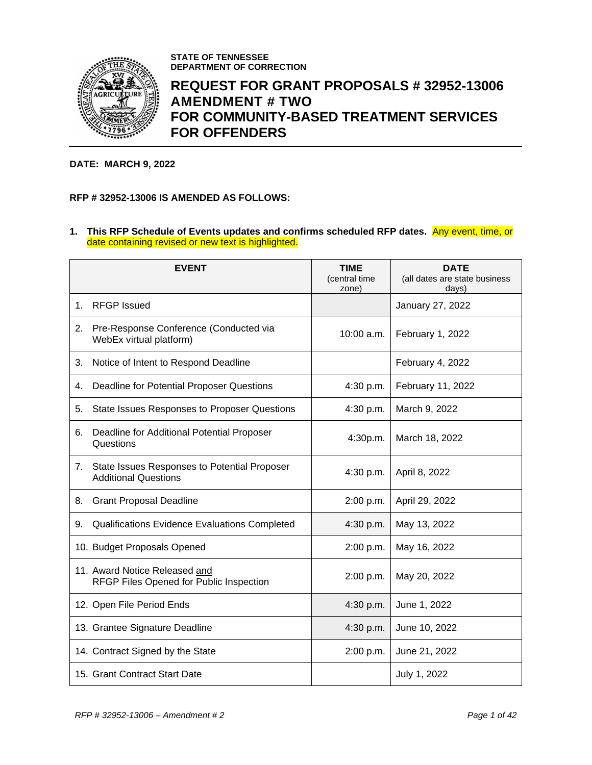

**STATE OF TENNESSEE DEPARTMENT OF CORRECTION**

# **REQUEST FOR GRANT PROPOSALS # 32952-13006 AMENDMENT # TWO FOR COMMUNITY-BASED TREATMENT SERVICES FOR OFFENDERS**

#### **DATE: MARCH 9, 2022**

## **RFP # 32952-13006 IS AMENDED AS FOLLOWS:**

#### **1. This RFP Schedule of Events updates and confirms scheduled RFP dates.** Any event, time, or date containing revised or new text is highlighted.

|    | <b>EVENT</b>                                                                | <b>TIME</b><br>(central time<br>zone) | <b>DATE</b><br>(all dates are state business<br>days) |
|----|-----------------------------------------------------------------------------|---------------------------------------|-------------------------------------------------------|
| 1. | <b>RFGP</b> Issued                                                          |                                       | January 27, 2022                                      |
| 2. | Pre-Response Conference (Conducted via<br>WebEx virtual platform)           | $10:00$ a.m.                          | February 1, 2022                                      |
| 3. | Notice of Intent to Respond Deadline                                        |                                       | February 4, 2022                                      |
| 4. | Deadline for Potential Proposer Questions                                   | 4:30 p.m.                             | February 11, 2022                                     |
| 5. | State Issues Responses to Proposer Questions                                | 4:30 p.m.                             | March 9, 2022                                         |
| 6. | Deadline for Additional Potential Proposer<br>Questions                     | 4:30p.m.                              | March 18, 2022                                        |
| 7. | State Issues Responses to Potential Proposer<br><b>Additional Questions</b> | 4:30 p.m.                             | April 8, 2022                                         |
| 8. | <b>Grant Proposal Deadline</b>                                              | 2:00 p.m.                             | April 29, 2022                                        |
| 9. | Qualifications Evidence Evaluations Completed                               | 4:30 p.m.                             | May 13, 2022                                          |
|    | 10. Budget Proposals Opened                                                 | 2:00 p.m.                             | May 16, 2022                                          |
|    | 11. Award Notice Released and<br>RFGP Files Opened for Public Inspection    | 2:00 p.m.                             | May 20, 2022                                          |
|    | 12. Open File Period Ends                                                   | 4:30 p.m.                             | June 1, 2022                                          |
|    | 13. Grantee Signature Deadline                                              | 4:30 p.m.                             | June 10, 2022                                         |
|    | 14. Contract Signed by the State                                            | 2:00 p.m.                             | June 21, 2022                                         |
|    | 15. Grant Contract Start Date                                               |                                       | July 1, 2022                                          |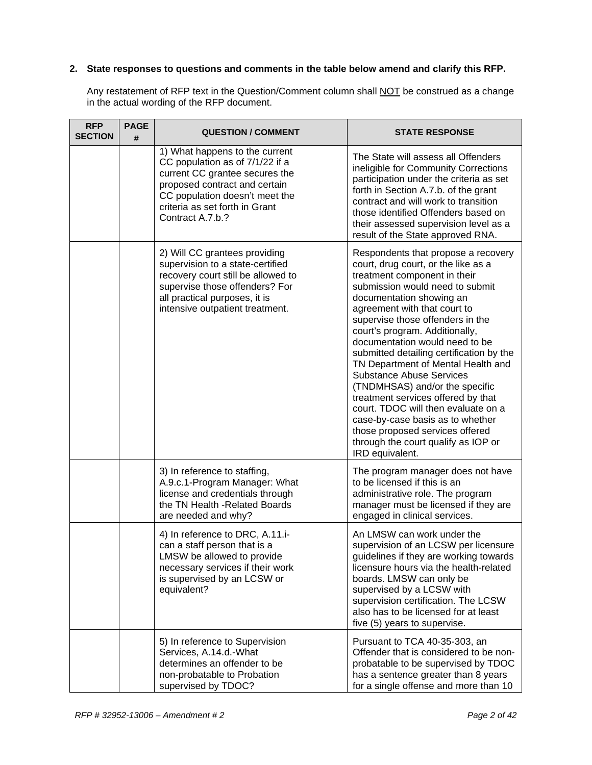## **2. State responses to questions and comments in the table below amend and clarify this RFP.**

Any restatement of RFP text in the Question/Comment column shall NOT be construed as a change in the actual wording of the RFP document.

| <b>RFP</b><br><b>SECTION</b> | <b>PAGE</b><br># | <b>QUESTION / COMMENT</b>                                                                                                                                                                                                    | <b>STATE RESPONSE</b>                                                                                                                                                                                                                                                                                                                                                                                                                                                                                                                                                                                                                                                                  |
|------------------------------|------------------|------------------------------------------------------------------------------------------------------------------------------------------------------------------------------------------------------------------------------|----------------------------------------------------------------------------------------------------------------------------------------------------------------------------------------------------------------------------------------------------------------------------------------------------------------------------------------------------------------------------------------------------------------------------------------------------------------------------------------------------------------------------------------------------------------------------------------------------------------------------------------------------------------------------------------|
|                              |                  | 1) What happens to the current<br>CC population as of 7/1/22 if a<br>current CC grantee secures the<br>proposed contract and certain<br>CC population doesn't meet the<br>criteria as set forth in Grant<br>Contract A.7.b.? | The State will assess all Offenders<br>ineligible for Community Corrections<br>participation under the criteria as set<br>forth in Section A.7.b. of the grant<br>contract and will work to transition<br>those identified Offenders based on<br>their assessed supervision level as a<br>result of the State approved RNA.                                                                                                                                                                                                                                                                                                                                                            |
|                              |                  | 2) Will CC grantees providing<br>supervision to a state-certified<br>recovery court still be allowed to<br>supervise those offenders? For<br>all practical purposes, it is<br>intensive outpatient treatment.                | Respondents that propose a recovery<br>court, drug court, or the like as a<br>treatment component in their<br>submission would need to submit<br>documentation showing an<br>agreement with that court to<br>supervise those offenders in the<br>court's program. Additionally,<br>documentation would need to be<br>submitted detailing certification by the<br>TN Department of Mental Health and<br><b>Substance Abuse Services</b><br>(TNDMHSAS) and/or the specific<br>treatment services offered by that<br>court. TDOC will then evaluate on a<br>case-by-case basis as to whether<br>those proposed services offered<br>through the court qualify as IOP or<br>IRD equivalent. |
|                              |                  | 3) In reference to staffing,<br>A.9.c.1-Program Manager: What<br>license and credentials through<br>the TN Health - Related Boards<br>are needed and why?                                                                    | The program manager does not have<br>to be licensed if this is an<br>administrative role. The program<br>manager must be licensed if they are<br>engaged in clinical services.                                                                                                                                                                                                                                                                                                                                                                                                                                                                                                         |
|                              |                  | 4) In reference to DRC, A.11.i-<br>can a staff person that is a<br>LMSW be allowed to provide<br>necessary services if their work<br>is supervised by an LCSW or<br>equivalent?                                              | An LMSW can work under the<br>supervision of an LCSW per licensure<br>guidelines if they are working towards<br>licensure hours via the health-related<br>boards. LMSW can only be<br>supervised by a LCSW with<br>supervision certification. The LCSW<br>also has to be licensed for at least<br>five (5) years to supervise.                                                                                                                                                                                                                                                                                                                                                         |
|                              |                  | 5) In reference to Supervision<br>Services, A.14.d.-What<br>determines an offender to be<br>non-probatable to Probation<br>supervised by TDOC?                                                                               | Pursuant to TCA 40-35-303, an<br>Offender that is considered to be non-<br>probatable to be supervised by TDOC<br>has a sentence greater than 8 years<br>for a single offense and more than 10                                                                                                                                                                                                                                                                                                                                                                                                                                                                                         |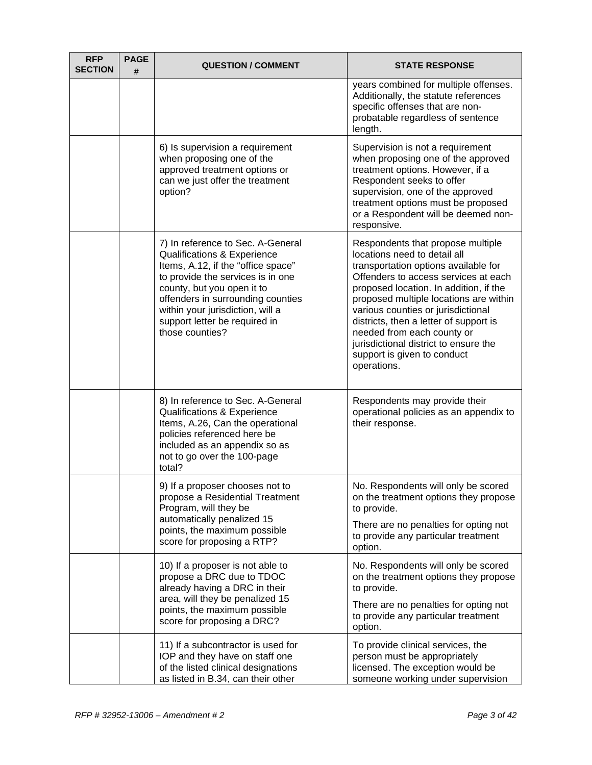| <b>RFP</b><br><b>SECTION</b> | <b>PAGE</b><br># | <b>QUESTION / COMMENT</b>                                                                                                                                                                                                                                                                                         | <b>STATE RESPONSE</b>                                                                                                                                                                                                                                                                                                                                                                                                                      |
|------------------------------|------------------|-------------------------------------------------------------------------------------------------------------------------------------------------------------------------------------------------------------------------------------------------------------------------------------------------------------------|--------------------------------------------------------------------------------------------------------------------------------------------------------------------------------------------------------------------------------------------------------------------------------------------------------------------------------------------------------------------------------------------------------------------------------------------|
|                              |                  |                                                                                                                                                                                                                                                                                                                   | years combined for multiple offenses.<br>Additionally, the statute references<br>specific offenses that are non-<br>probatable regardless of sentence<br>length.                                                                                                                                                                                                                                                                           |
|                              |                  | 6) Is supervision a requirement<br>when proposing one of the<br>approved treatment options or<br>can we just offer the treatment<br>option?                                                                                                                                                                       | Supervision is not a requirement<br>when proposing one of the approved<br>treatment options. However, if a<br>Respondent seeks to offer<br>supervision, one of the approved<br>treatment options must be proposed<br>or a Respondent will be deemed non-<br>responsive.                                                                                                                                                                    |
|                              |                  | 7) In reference to Sec. A-General<br><b>Qualifications &amp; Experience</b><br>Items, A.12, if the "office space"<br>to provide the services is in one<br>county, but you open it to<br>offenders in surrounding counties<br>within your jurisdiction, will a<br>support letter be required in<br>those counties? | Respondents that propose multiple<br>locations need to detail all<br>transportation options available for<br>Offenders to access services at each<br>proposed location. In addition, if the<br>proposed multiple locations are within<br>various counties or jurisdictional<br>districts, then a letter of support is<br>needed from each county or<br>jurisdictional district to ensure the<br>support is given to conduct<br>operations. |
|                              |                  | 8) In reference to Sec. A-General<br>Qualifications & Experience<br>Items, A.26, Can the operational<br>policies referenced here be<br>included as an appendix so as<br>not to go over the 100-page<br>total?                                                                                                     | Respondents may provide their<br>operational policies as an appendix to<br>their response.                                                                                                                                                                                                                                                                                                                                                 |
|                              |                  | 9) If a proposer chooses not to<br>propose a Residential Treatment<br>Program, will they be<br>automatically penalized 15<br>points, the maximum possible<br>score for proposing a RTP?                                                                                                                           | No. Respondents will only be scored<br>on the treatment options they propose<br>to provide.<br>There are no penalties for opting not<br>to provide any particular treatment<br>option.                                                                                                                                                                                                                                                     |
|                              |                  | 10) If a proposer is not able to<br>propose a DRC due to TDOC<br>already having a DRC in their<br>area, will they be penalized 15<br>points, the maximum possible<br>score for proposing a DRC?                                                                                                                   | No. Respondents will only be scored<br>on the treatment options they propose<br>to provide.<br>There are no penalties for opting not<br>to provide any particular treatment<br>option.                                                                                                                                                                                                                                                     |
|                              |                  | 11) If a subcontractor is used for<br>IOP and they have on staff one<br>of the listed clinical designations<br>as listed in B.34, can their other                                                                                                                                                                 | To provide clinical services, the<br>person must be appropriately<br>licensed. The exception would be<br>someone working under supervision                                                                                                                                                                                                                                                                                                 |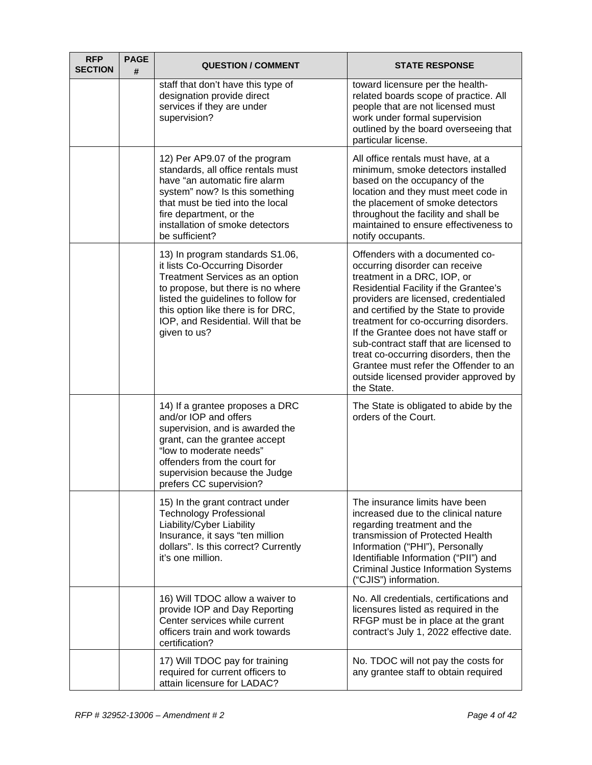| <b>RFP</b><br><b>SECTION</b> | <b>PAGE</b><br># | <b>QUESTION / COMMENT</b>                                                                                                                                                                                                                                                    | <b>STATE RESPONSE</b>                                                                                                                                                                                                                                                                                                                                                                                                                                                                             |
|------------------------------|------------------|------------------------------------------------------------------------------------------------------------------------------------------------------------------------------------------------------------------------------------------------------------------------------|---------------------------------------------------------------------------------------------------------------------------------------------------------------------------------------------------------------------------------------------------------------------------------------------------------------------------------------------------------------------------------------------------------------------------------------------------------------------------------------------------|
|                              |                  | staff that don't have this type of<br>designation provide direct<br>services if they are under<br>supervision?                                                                                                                                                               | toward licensure per the health-<br>related boards scope of practice. All<br>people that are not licensed must<br>work under formal supervision<br>outlined by the board overseeing that<br>particular license.                                                                                                                                                                                                                                                                                   |
|                              |                  | 12) Per AP9.07 of the program<br>standards, all office rentals must<br>have "an automatic fire alarm<br>system" now? Is this something<br>that must be tied into the local<br>fire department, or the<br>installation of smoke detectors<br>be sufficient?                   | All office rentals must have, at a<br>minimum, smoke detectors installed<br>based on the occupancy of the<br>location and they must meet code in<br>the placement of smoke detectors<br>throughout the facility and shall be<br>maintained to ensure effectiveness to<br>notify occupants.                                                                                                                                                                                                        |
|                              |                  | 13) In program standards S1.06,<br>it lists Co-Occurring Disorder<br>Treatment Services as an option<br>to propose, but there is no where<br>listed the guidelines to follow for<br>this option like there is for DRC,<br>IOP, and Residential. Will that be<br>given to us? | Offenders with a documented co-<br>occurring disorder can receive<br>treatment in a DRC, IOP, or<br>Residential Facility if the Grantee's<br>providers are licensed, credentialed<br>and certified by the State to provide<br>treatment for co-occurring disorders.<br>If the Grantee does not have staff or<br>sub-contract staff that are licensed to<br>treat co-occurring disorders, then the<br>Grantee must refer the Offender to an<br>outside licensed provider approved by<br>the State. |
|                              |                  | 14) If a grantee proposes a DRC<br>and/or IOP and offers<br>supervision, and is awarded the<br>grant, can the grantee accept<br>"low to moderate needs"<br>offenders from the court for<br>supervision because the Judge<br>prefers CC supervision?                          | The State is obligated to abide by the<br>orders of the Court.                                                                                                                                                                                                                                                                                                                                                                                                                                    |
|                              |                  | 15) In the grant contract under<br><b>Technology Professional</b><br>Liability/Cyber Liability<br>Insurance, it says "ten million<br>dollars". Is this correct? Currently<br>it's one million.                                                                               | The insurance limits have been<br>increased due to the clinical nature<br>regarding treatment and the<br>transmission of Protected Health<br>Information ("PHI"), Personally<br>Identifiable Information ("PII") and<br><b>Criminal Justice Information Systems</b><br>("CJIS") information.                                                                                                                                                                                                      |
|                              |                  | 16) Will TDOC allow a waiver to<br>provide IOP and Day Reporting<br>Center services while current<br>officers train and work towards<br>certification?                                                                                                                       | No. All credentials, certifications and<br>licensures listed as required in the<br>RFGP must be in place at the grant<br>contract's July 1, 2022 effective date.                                                                                                                                                                                                                                                                                                                                  |
|                              |                  | 17) Will TDOC pay for training<br>required for current officers to<br>attain licensure for LADAC?                                                                                                                                                                            | No. TDOC will not pay the costs for<br>any grantee staff to obtain required                                                                                                                                                                                                                                                                                                                                                                                                                       |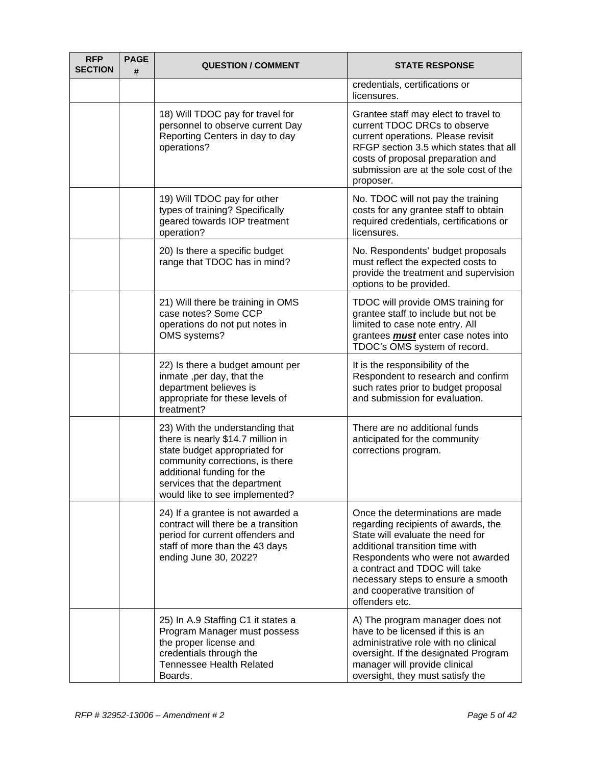| <b>RFP</b><br><b>SECTION</b> | <b>PAGE</b><br># | <b>QUESTION / COMMENT</b>                                                                                                                                                                                                                | <b>STATE RESPONSE</b>                                                                                                                                                                                                                                                                                        |
|------------------------------|------------------|------------------------------------------------------------------------------------------------------------------------------------------------------------------------------------------------------------------------------------------|--------------------------------------------------------------------------------------------------------------------------------------------------------------------------------------------------------------------------------------------------------------------------------------------------------------|
|                              |                  |                                                                                                                                                                                                                                          | credentials, certifications or<br>licensures.                                                                                                                                                                                                                                                                |
|                              |                  | 18) Will TDOC pay for travel for<br>personnel to observe current Day<br>Reporting Centers in day to day<br>operations?                                                                                                                   | Grantee staff may elect to travel to<br>current TDOC DRCs to observe<br>current operations. Please revisit<br>RFGP section 3.5 which states that all<br>costs of proposal preparation and<br>submission are at the sole cost of the<br>proposer.                                                             |
|                              |                  | 19) Will TDOC pay for other<br>types of training? Specifically<br>geared towards IOP treatment<br>operation?                                                                                                                             | No. TDOC will not pay the training<br>costs for any grantee staff to obtain<br>required credentials, certifications or<br>licensures.                                                                                                                                                                        |
|                              |                  | 20) Is there a specific budget<br>range that TDOC has in mind?                                                                                                                                                                           | No. Respondents' budget proposals<br>must reflect the expected costs to<br>provide the treatment and supervision<br>options to be provided.                                                                                                                                                                  |
|                              |                  | 21) Will there be training in OMS<br>case notes? Some CCP<br>operations do not put notes in<br>OMS systems?                                                                                                                              | TDOC will provide OMS training for<br>grantee staff to include but not be<br>limited to case note entry. All<br>grantees <b>must</b> enter case notes into<br>TDOC's OMS system of record.                                                                                                                   |
|                              |                  | 22) Is there a budget amount per<br>inmate, per day, that the<br>department believes is<br>appropriate for these levels of<br>treatment?                                                                                                 | It is the responsibility of the<br>Respondent to research and confirm<br>such rates prior to budget proposal<br>and submission for evaluation.                                                                                                                                                               |
|                              |                  | 23) With the understanding that<br>there is nearly \$14.7 million in<br>state budget appropriated for<br>community corrections, is there<br>additional funding for the<br>services that the department<br>would like to see implemented? | There are no additional funds<br>anticipated for the community<br>corrections program.                                                                                                                                                                                                                       |
|                              |                  | 24) If a grantee is not awarded a<br>contract will there be a transition<br>period for current offenders and<br>staff of more than the 43 days<br>ending June 30, 2022?                                                                  | Once the determinations are made<br>regarding recipients of awards, the<br>State will evaluate the need for<br>additional transition time with<br>Respondents who were not awarded<br>a contract and TDOC will take<br>necessary steps to ensure a smooth<br>and cooperative transition of<br>offenders etc. |
|                              |                  | 25) In A.9 Staffing C1 it states a<br>Program Manager must possess<br>the proper license and<br>credentials through the<br><b>Tennessee Health Related</b><br>Boards.                                                                    | A) The program manager does not<br>have to be licensed if this is an<br>administrative role with no clinical<br>oversight. If the designated Program<br>manager will provide clinical<br>oversight, they must satisfy the                                                                                    |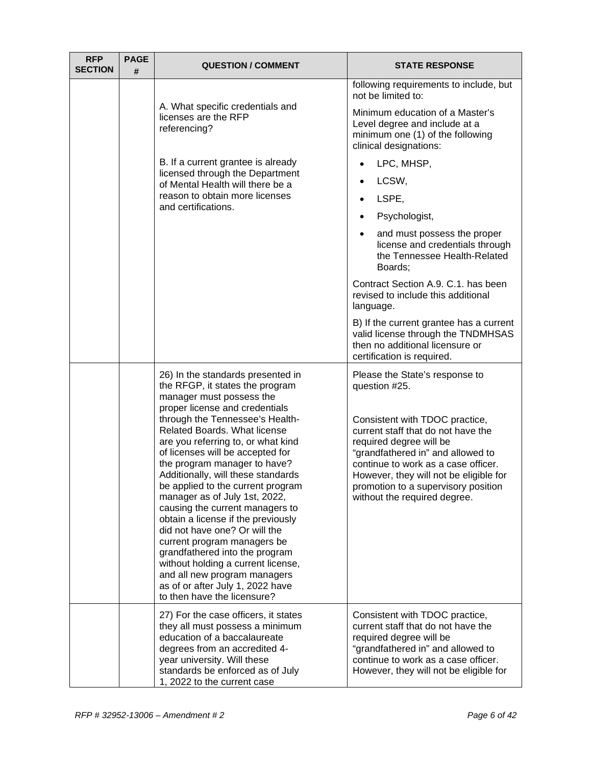| <b>RFP</b><br><b>SECTION</b> | <b>PAGE</b><br># | <b>QUESTION / COMMENT</b>                                                                                                                                                                                                                                                                                                                                                                                                                                                                                                                                                                                                                                                                                                                              | <b>STATE RESPONSE</b>                                                                                                                                                                                                                                                                                                                                                         |
|------------------------------|------------------|--------------------------------------------------------------------------------------------------------------------------------------------------------------------------------------------------------------------------------------------------------------------------------------------------------------------------------------------------------------------------------------------------------------------------------------------------------------------------------------------------------------------------------------------------------------------------------------------------------------------------------------------------------------------------------------------------------------------------------------------------------|-------------------------------------------------------------------------------------------------------------------------------------------------------------------------------------------------------------------------------------------------------------------------------------------------------------------------------------------------------------------------------|
|                              |                  | A. What specific credentials and<br>licenses are the RFP<br>referencing?                                                                                                                                                                                                                                                                                                                                                                                                                                                                                                                                                                                                                                                                               | following requirements to include, but<br>not be limited to:<br>Minimum education of a Master's<br>Level degree and include at a<br>minimum one (1) of the following<br>clinical designations:                                                                                                                                                                                |
|                              |                  | B. If a current grantee is already<br>licensed through the Department<br>of Mental Health will there be a<br>reason to obtain more licenses<br>and certifications.                                                                                                                                                                                                                                                                                                                                                                                                                                                                                                                                                                                     | LPC, MHSP,<br>LCSW,<br>LSPE,<br>Psychologist,<br>and must possess the proper<br>license and credentials through<br>the Tennessee Health-Related<br>Boards;<br>Contract Section A.9. C.1. has been<br>revised to include this additional<br>language.<br>B) If the current grantee has a current<br>valid license through the TNDMHSAS<br>then no additional licensure or      |
|                              |                  | 26) In the standards presented in<br>the RFGP, it states the program<br>manager must possess the<br>proper license and credentials<br>through the Tennessee's Health-<br><b>Related Boards. What license</b><br>are you referring to, or what kind<br>of licenses will be accepted for<br>the program manager to have?<br>Additionally, will these standards<br>be applied to the current program<br>manager as of July 1st, 2022,<br>causing the current managers to<br>obtain a license if the previously<br>did not have one? Or will the<br>current program managers be<br>grandfathered into the program<br>without holding a current license,<br>and all new program managers<br>as of or after July 1, 2022 have<br>to then have the licensure? | certification is required.<br>Please the State's response to<br>question #25.<br>Consistent with TDOC practice,<br>current staff that do not have the<br>required degree will be<br>"grandfathered in" and allowed to<br>continue to work as a case officer.<br>However, they will not be eligible for<br>promotion to a supervisory position<br>without the required degree. |
|                              |                  | 27) For the case officers, it states<br>they all must possess a minimum<br>education of a baccalaureate<br>degrees from an accredited 4-<br>year university. Will these<br>standards be enforced as of July<br>1, 2022 to the current case                                                                                                                                                                                                                                                                                                                                                                                                                                                                                                             | Consistent with TDOC practice,<br>current staff that do not have the<br>required degree will be<br>"grandfathered in" and allowed to<br>continue to work as a case officer.<br>However, they will not be eligible for                                                                                                                                                         |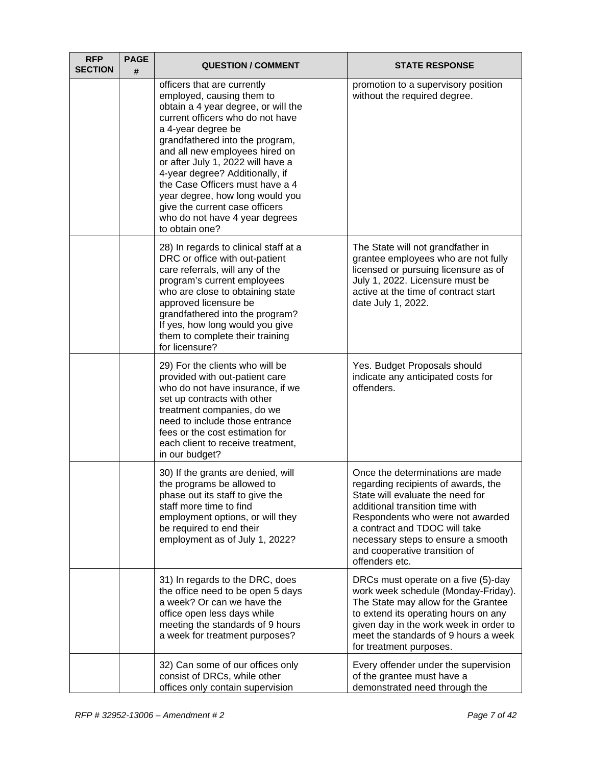| <b>RFP</b><br><b>SECTION</b> | <b>PAGE</b><br># | <b>QUESTION / COMMENT</b>                                                                                                                                                                                                                                                                                                                                                                                                                                          | <b>STATE RESPONSE</b>                                                                                                                                                                                                                                                                                        |
|------------------------------|------------------|--------------------------------------------------------------------------------------------------------------------------------------------------------------------------------------------------------------------------------------------------------------------------------------------------------------------------------------------------------------------------------------------------------------------------------------------------------------------|--------------------------------------------------------------------------------------------------------------------------------------------------------------------------------------------------------------------------------------------------------------------------------------------------------------|
|                              |                  | officers that are currently<br>employed, causing them to<br>obtain a 4 year degree, or will the<br>current officers who do not have<br>a 4-year degree be<br>grandfathered into the program,<br>and all new employees hired on<br>or after July 1, 2022 will have a<br>4-year degree? Additionally, if<br>the Case Officers must have a 4<br>year degree, how long would you<br>give the current case officers<br>who do not have 4 year degrees<br>to obtain one? | promotion to a supervisory position<br>without the required degree.                                                                                                                                                                                                                                          |
|                              |                  | 28) In regards to clinical staff at a<br>DRC or office with out-patient<br>care referrals, will any of the<br>program's current employees<br>who are close to obtaining state<br>approved licensure be<br>grandfathered into the program?<br>If yes, how long would you give<br>them to complete their training<br>for licensure?                                                                                                                                  | The State will not grandfather in<br>grantee employees who are not fully<br>licensed or pursuing licensure as of<br>July 1, 2022. Licensure must be<br>active at the time of contract start<br>date July 1, 2022.                                                                                            |
|                              |                  | 29) For the clients who will be<br>provided with out-patient care<br>who do not have insurance, if we<br>set up contracts with other<br>treatment companies, do we<br>need to include those entrance<br>fees or the cost estimation for<br>each client to receive treatment,<br>in our budget?                                                                                                                                                                     | Yes. Budget Proposals should<br>indicate any anticipated costs for<br>offenders.                                                                                                                                                                                                                             |
|                              |                  | 30) If the grants are denied, will<br>the programs be allowed to<br>phase out its staff to give the<br>staff more time to find<br>employment options, or will they<br>be required to end their<br>employment as of July 1, 2022?                                                                                                                                                                                                                                   | Once the determinations are made<br>regarding recipients of awards, the<br>State will evaluate the need for<br>additional transition time with<br>Respondents who were not awarded<br>a contract and TDOC will take<br>necessary steps to ensure a smooth<br>and cooperative transition of<br>offenders etc. |
|                              |                  | 31) In regards to the DRC, does<br>the office need to be open 5 days<br>a week? Or can we have the<br>office open less days while<br>meeting the standards of 9 hours<br>a week for treatment purposes?                                                                                                                                                                                                                                                            | DRCs must operate on a five (5)-day<br>work week schedule (Monday-Friday).<br>The State may allow for the Grantee<br>to extend its operating hours on any<br>given day in the work week in order to<br>meet the standards of 9 hours a week<br>for treatment purposes.                                       |
|                              |                  | 32) Can some of our offices only<br>consist of DRCs, while other<br>offices only contain supervision                                                                                                                                                                                                                                                                                                                                                               | Every offender under the supervision<br>of the grantee must have a<br>demonstrated need through the                                                                                                                                                                                                          |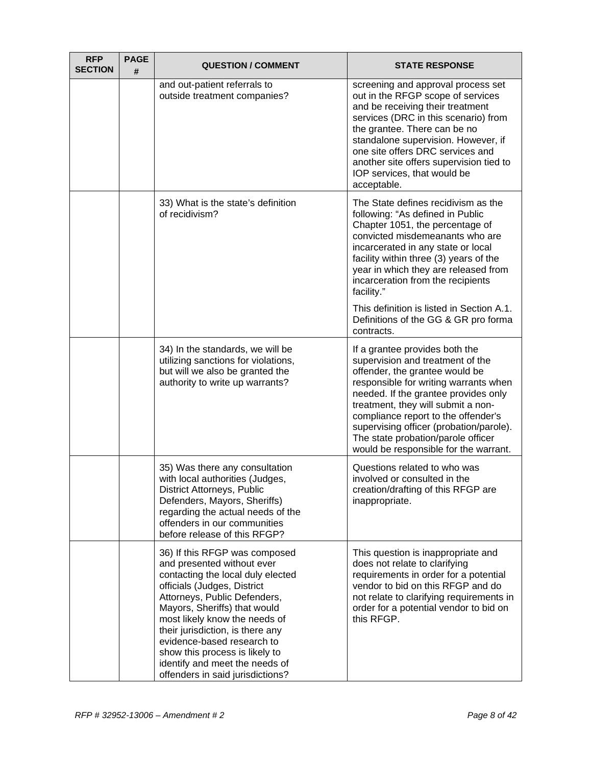| <b>RFP</b><br><b>SECTION</b> | <b>PAGE</b><br># | <b>QUESTION / COMMENT</b>                                                                                                                                                                                                                                                                                                                                                                                  | <b>STATE RESPONSE</b>                                                                                                                                                                                                                                                                                                                                                                        |
|------------------------------|------------------|------------------------------------------------------------------------------------------------------------------------------------------------------------------------------------------------------------------------------------------------------------------------------------------------------------------------------------------------------------------------------------------------------------|----------------------------------------------------------------------------------------------------------------------------------------------------------------------------------------------------------------------------------------------------------------------------------------------------------------------------------------------------------------------------------------------|
|                              |                  | and out-patient referrals to<br>outside treatment companies?                                                                                                                                                                                                                                                                                                                                               | screening and approval process set<br>out in the RFGP scope of services<br>and be receiving their treatment<br>services (DRC in this scenario) from<br>the grantee. There can be no<br>standalone supervision. However, if<br>one site offers DRC services and<br>another site offers supervision tied to<br>IOP services, that would be<br>acceptable.                                      |
|                              |                  | 33) What is the state's definition<br>of recidivism?                                                                                                                                                                                                                                                                                                                                                       | The State defines recidivism as the<br>following: "As defined in Public<br>Chapter 1051, the percentage of<br>convicted misdemeanants who are<br>incarcerated in any state or local<br>facility within three (3) years of the<br>year in which they are released from<br>incarceration from the recipients<br>facility."                                                                     |
|                              |                  |                                                                                                                                                                                                                                                                                                                                                                                                            | This definition is listed in Section A.1.<br>Definitions of the GG & GR pro forma<br>contracts.                                                                                                                                                                                                                                                                                              |
|                              |                  | 34) In the standards, we will be<br>utilizing sanctions for violations,<br>but will we also be granted the<br>authority to write up warrants?                                                                                                                                                                                                                                                              | If a grantee provides both the<br>supervision and treatment of the<br>offender, the grantee would be<br>responsible for writing warrants when<br>needed. If the grantee provides only<br>treatment, they will submit a non-<br>compliance report to the offender's<br>supervising officer (probation/parole).<br>The state probation/parole officer<br>would be responsible for the warrant. |
|                              |                  | 35) Was there any consultation<br>with local authorities (Judges,<br>District Attorneys, Public<br>Defenders, Mayors, Sheriffs)<br>regarding the actual needs of the<br>offenders in our communities<br>before release of this RFGP?                                                                                                                                                                       | Questions related to who was<br>involved or consulted in the<br>creation/drafting of this RFGP are<br>inappropriate.                                                                                                                                                                                                                                                                         |
|                              |                  | 36) If this RFGP was composed<br>and presented without ever<br>contacting the local duly elected<br>officials (Judges, District<br>Attorneys, Public Defenders,<br>Mayors, Sheriffs) that would<br>most likely know the needs of<br>their jurisdiction, is there any<br>evidence-based research to<br>show this process is likely to<br>identify and meet the needs of<br>offenders in said jurisdictions? | This question is inappropriate and<br>does not relate to clarifying<br>requirements in order for a potential<br>vendor to bid on this RFGP and do<br>not relate to clarifying requirements in<br>order for a potential vendor to bid on<br>this RFGP.                                                                                                                                        |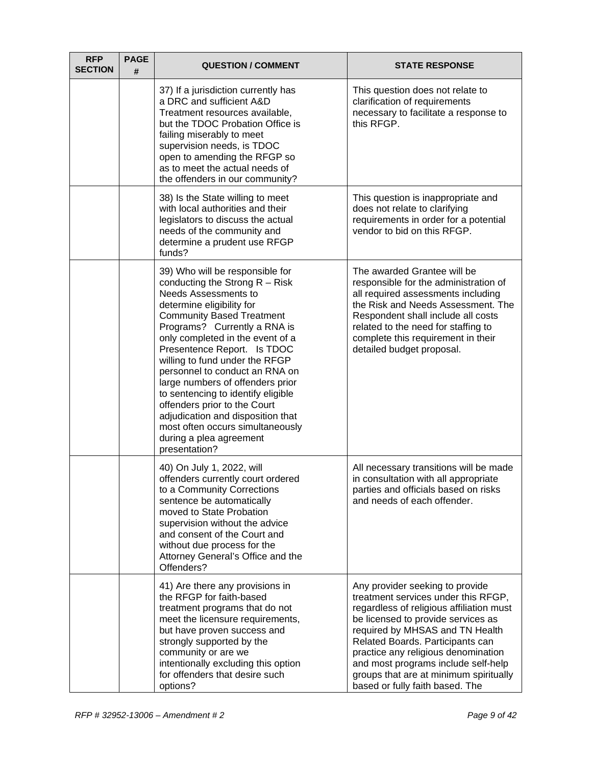| <b>RFP</b><br><b>SECTION</b> | <b>PAGE</b><br># | <b>QUESTION / COMMENT</b>                                                                                                                                                                                                                                                                                                                                                                                                                                                                                                                                           | <b>STATE RESPONSE</b>                                                                                                                                                                                                                                                                                                                                                                      |
|------------------------------|------------------|---------------------------------------------------------------------------------------------------------------------------------------------------------------------------------------------------------------------------------------------------------------------------------------------------------------------------------------------------------------------------------------------------------------------------------------------------------------------------------------------------------------------------------------------------------------------|--------------------------------------------------------------------------------------------------------------------------------------------------------------------------------------------------------------------------------------------------------------------------------------------------------------------------------------------------------------------------------------------|
|                              |                  | 37) If a jurisdiction currently has<br>a DRC and sufficient A&D<br>Treatment resources available,<br>but the TDOC Probation Office is<br>failing miserably to meet<br>supervision needs, is TDOC<br>open to amending the RFGP so<br>as to meet the actual needs of<br>the offenders in our community?                                                                                                                                                                                                                                                               | This question does not relate to<br>clarification of requirements<br>necessary to facilitate a response to<br>this RFGP.                                                                                                                                                                                                                                                                   |
|                              |                  | 38) Is the State willing to meet<br>with local authorities and their<br>legislators to discuss the actual<br>needs of the community and<br>determine a prudent use RFGP<br>funds?                                                                                                                                                                                                                                                                                                                                                                                   | This question is inappropriate and<br>does not relate to clarifying<br>requirements in order for a potential<br>vendor to bid on this RFGP.                                                                                                                                                                                                                                                |
|                              |                  | 39) Who will be responsible for<br>conducting the Strong $R - R$ isk<br>Needs Assessments to<br>determine eligibility for<br><b>Community Based Treatment</b><br>Programs? Currently a RNA is<br>only completed in the event of a<br>Presentence Report. Is TDOC<br>willing to fund under the RFGP<br>personnel to conduct an RNA on<br>large numbers of offenders prior<br>to sentencing to identify eligible<br>offenders prior to the Court<br>adjudication and disposition that<br>most often occurs simultaneously<br>during a plea agreement<br>presentation? | The awarded Grantee will be<br>responsible for the administration of<br>all required assessments including<br>the Risk and Needs Assessment. The<br>Respondent shall include all costs<br>related to the need for staffing to<br>complete this requirement in their<br>detailed budget proposal.                                                                                           |
|                              |                  | 40) On July 1, 2022, will<br>offenders currently court ordered<br>to a Community Corrections<br>sentence be automatically<br>moved to State Probation<br>supervision without the advice<br>and consent of the Court and<br>without due process for the<br>Attorney General's Office and the<br>Offenders?                                                                                                                                                                                                                                                           | All necessary transitions will be made<br>in consultation with all appropriate<br>parties and officials based on risks<br>and needs of each offender.                                                                                                                                                                                                                                      |
|                              |                  | 41) Are there any provisions in<br>the RFGP for faith-based<br>treatment programs that do not<br>meet the licensure requirements,<br>but have proven success and<br>strongly supported by the<br>community or are we<br>intentionally excluding this option<br>for offenders that desire such<br>options?                                                                                                                                                                                                                                                           | Any provider seeking to provide<br>treatment services under this RFGP,<br>regardless of religious affiliation must<br>be licensed to provide services as<br>required by MHSAS and TN Health<br>Related Boards. Participants can<br>practice any religious denomination<br>and most programs include self-help<br>groups that are at minimum spiritually<br>based or fully faith based. The |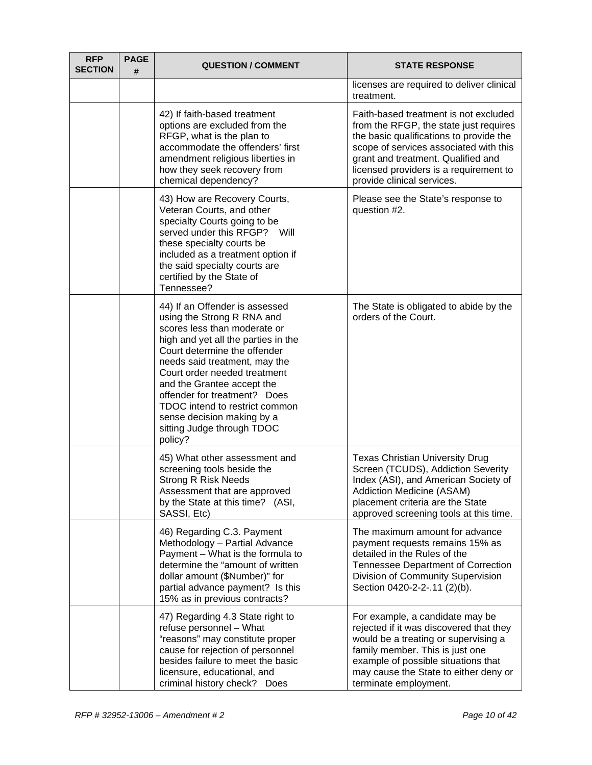| <b>RFP</b><br><b>SECTION</b> | <b>PAGE</b><br># | <b>QUESTION / COMMENT</b>                                                                                                                                                                                                                                                                                                                                                                                   | <b>STATE RESPONSE</b>                                                                                                                                                                                                                                                              |
|------------------------------|------------------|-------------------------------------------------------------------------------------------------------------------------------------------------------------------------------------------------------------------------------------------------------------------------------------------------------------------------------------------------------------------------------------------------------------|------------------------------------------------------------------------------------------------------------------------------------------------------------------------------------------------------------------------------------------------------------------------------------|
|                              |                  |                                                                                                                                                                                                                                                                                                                                                                                                             | licenses are required to deliver clinical<br>treatment.                                                                                                                                                                                                                            |
|                              |                  | 42) If faith-based treatment<br>options are excluded from the<br>RFGP, what is the plan to<br>accommodate the offenders' first<br>amendment religious liberties in<br>how they seek recovery from<br>chemical dependency?                                                                                                                                                                                   | Faith-based treatment is not excluded<br>from the RFGP, the state just requires<br>the basic qualifications to provide the<br>scope of services associated with this<br>grant and treatment. Qualified and<br>licensed providers is a requirement to<br>provide clinical services. |
|                              |                  | 43) How are Recovery Courts,<br>Veteran Courts, and other<br>specialty Courts going to be<br>served under this RFGP? Will<br>these specialty courts be<br>included as a treatment option if<br>the said specialty courts are<br>certified by the State of<br>Tennessee?                                                                                                                                     | Please see the State's response to<br>question #2.                                                                                                                                                                                                                                 |
|                              |                  | 44) If an Offender is assessed<br>using the Strong R RNA and<br>scores less than moderate or<br>high and yet all the parties in the<br>Court determine the offender<br>needs said treatment, may the<br>Court order needed treatment<br>and the Grantee accept the<br>offender for treatment? Does<br>TDOC intend to restrict common<br>sense decision making by a<br>sitting Judge through TDOC<br>policy? | The State is obligated to abide by the<br>orders of the Court.                                                                                                                                                                                                                     |
|                              |                  | 45) What other assessment and<br>screening tools beside the<br><b>Strong R Risk Needs</b><br>Assessment that are approved<br>by the State at this time? (ASI,<br>SASSI, Etc)                                                                                                                                                                                                                                | <b>Texas Christian University Drug</b><br>Screen (TCUDS), Addiction Severity<br>Index (ASI), and American Society of<br><b>Addiction Medicine (ASAM)</b><br>placement criteria are the State<br>approved screening tools at this time.                                             |
|                              |                  | 46) Regarding C.3. Payment<br>Methodology - Partial Advance<br>Payment - What is the formula to<br>determine the "amount of written<br>dollar amount (\$Number)" for<br>partial advance payment? Is this<br>15% as in previous contracts?                                                                                                                                                                   | The maximum amount for advance<br>payment requests remains 15% as<br>detailed in the Rules of the<br><b>Tennessee Department of Correction</b><br>Division of Community Supervision<br>Section 0420-2-2-.11 (2)(b).                                                                |
|                              |                  | 47) Regarding 4.3 State right to<br>refuse personnel - What<br>"reasons" may constitute proper<br>cause for rejection of personnel<br>besides failure to meet the basic<br>licensure, educational, and<br>criminal history check? Does                                                                                                                                                                      | For example, a candidate may be<br>rejected if it was discovered that they<br>would be a treating or supervising a<br>family member. This is just one<br>example of possible situations that<br>may cause the State to either deny or<br>terminate employment.                     |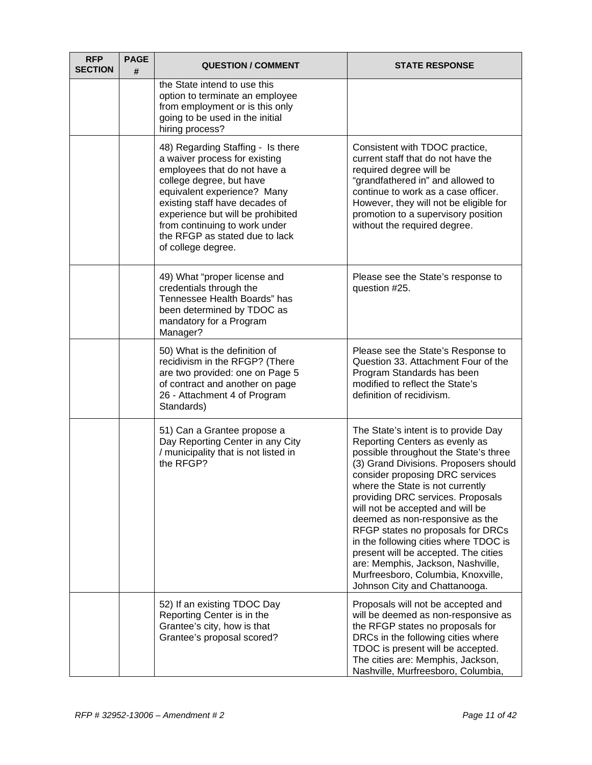| <b>RFP</b><br><b>SECTION</b> | <b>PAGE</b><br># | <b>QUESTION / COMMENT</b>                                                                                                                                                                                                                                                                                                     | <b>STATE RESPONSE</b>                                                                                                                                                                                                                                                                                                                                                                                                                                                                                                                                                         |
|------------------------------|------------------|-------------------------------------------------------------------------------------------------------------------------------------------------------------------------------------------------------------------------------------------------------------------------------------------------------------------------------|-------------------------------------------------------------------------------------------------------------------------------------------------------------------------------------------------------------------------------------------------------------------------------------------------------------------------------------------------------------------------------------------------------------------------------------------------------------------------------------------------------------------------------------------------------------------------------|
|                              |                  | the State intend to use this<br>option to terminate an employee<br>from employment or is this only<br>going to be used in the initial<br>hiring process?                                                                                                                                                                      |                                                                                                                                                                                                                                                                                                                                                                                                                                                                                                                                                                               |
|                              |                  | 48) Regarding Staffing - Is there<br>a waiver process for existing<br>employees that do not have a<br>college degree, but have<br>equivalent experience? Many<br>existing staff have decades of<br>experience but will be prohibited<br>from continuing to work under<br>the RFGP as stated due to lack<br>of college degree. | Consistent with TDOC practice,<br>current staff that do not have the<br>required degree will be<br>"grandfathered in" and allowed to<br>continue to work as a case officer.<br>However, they will not be eligible for<br>promotion to a supervisory position<br>without the required degree.                                                                                                                                                                                                                                                                                  |
|                              |                  | 49) What "proper license and<br>credentials through the<br>Tennessee Health Boards" has<br>been determined by TDOC as<br>mandatory for a Program<br>Manager?                                                                                                                                                                  | Please see the State's response to<br>question #25.                                                                                                                                                                                                                                                                                                                                                                                                                                                                                                                           |
|                              |                  | 50) What is the definition of<br>recidivism in the RFGP? (There<br>are two provided: one on Page 5<br>of contract and another on page<br>26 - Attachment 4 of Program<br>Standards)                                                                                                                                           | Please see the State's Response to<br>Question 33. Attachment Four of the<br>Program Standards has been<br>modified to reflect the State's<br>definition of recidivism.                                                                                                                                                                                                                                                                                                                                                                                                       |
|                              |                  | 51) Can a Grantee propose a<br>Day Reporting Center in any City<br>/ municipality that is not listed in<br>the RFGP?                                                                                                                                                                                                          | The State's intent is to provide Day<br>Reporting Centers as evenly as<br>possible throughout the State's three<br>(3) Grand Divisions. Proposers should<br>consider proposing DRC services<br>where the State is not currently<br>providing DRC services. Proposals<br>will not be accepted and will be<br>deemed as non-responsive as the<br>RFGP states no proposals for DRCs<br>in the following cities where TDOC is<br>present will be accepted. The cities<br>are: Memphis, Jackson, Nashville,<br>Murfreesboro, Columbia, Knoxville,<br>Johnson City and Chattanooga. |
|                              |                  | 52) If an existing TDOC Day<br>Reporting Center is in the<br>Grantee's city, how is that<br>Grantee's proposal scored?                                                                                                                                                                                                        | Proposals will not be accepted and<br>will be deemed as non-responsive as<br>the RFGP states no proposals for<br>DRCs in the following cities where<br>TDOC is present will be accepted.<br>The cities are: Memphis, Jackson,<br>Nashville, Murfreesboro, Columbia,                                                                                                                                                                                                                                                                                                           |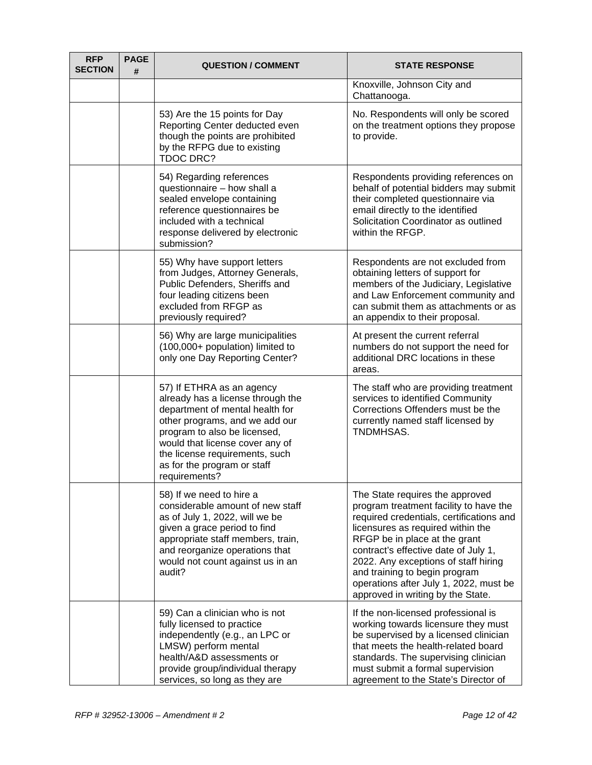| <b>RFP</b><br><b>SECTION</b> | <b>PAGE</b><br># | <b>QUESTION / COMMENT</b>                                                                                                                                                                                                                                                                | <b>STATE RESPONSE</b>                                                                                                                                                                                                                                                                                                                                                                       |
|------------------------------|------------------|------------------------------------------------------------------------------------------------------------------------------------------------------------------------------------------------------------------------------------------------------------------------------------------|---------------------------------------------------------------------------------------------------------------------------------------------------------------------------------------------------------------------------------------------------------------------------------------------------------------------------------------------------------------------------------------------|
|                              |                  |                                                                                                                                                                                                                                                                                          | Knoxville, Johnson City and<br>Chattanooga.                                                                                                                                                                                                                                                                                                                                                 |
|                              |                  | 53) Are the 15 points for Day<br>Reporting Center deducted even<br>though the points are prohibited<br>by the RFPG due to existing<br><b>TDOC DRC?</b>                                                                                                                                   | No. Respondents will only be scored<br>on the treatment options they propose<br>to provide.                                                                                                                                                                                                                                                                                                 |
|                              |                  | 54) Regarding references<br>questionnaire - how shall a<br>sealed envelope containing<br>reference questionnaires be<br>included with a technical<br>response delivered by electronic<br>submission?                                                                                     | Respondents providing references on<br>behalf of potential bidders may submit<br>their completed questionnaire via<br>email directly to the identified<br>Solicitation Coordinator as outlined<br>within the RFGP.                                                                                                                                                                          |
|                              |                  | 55) Why have support letters<br>from Judges, Attorney Generals,<br>Public Defenders, Sheriffs and<br>four leading citizens been<br>excluded from RFGP as<br>previously required?                                                                                                         | Respondents are not excluded from<br>obtaining letters of support for<br>members of the Judiciary, Legislative<br>and Law Enforcement community and<br>can submit them as attachments or as<br>an appendix to their proposal.                                                                                                                                                               |
|                              |                  | 56) Why are large municipalities<br>(100,000+ population) limited to<br>only one Day Reporting Center?                                                                                                                                                                                   | At present the current referral<br>numbers do not support the need for<br>additional DRC locations in these<br>areas.                                                                                                                                                                                                                                                                       |
|                              |                  | 57) If ETHRA as an agency<br>already has a license through the<br>department of mental health for<br>other programs, and we add our<br>program to also be licensed,<br>would that license cover any of<br>the license requirements, such<br>as for the program or staff<br>requirements? | The staff who are providing treatment<br>services to identified Community<br>Corrections Offenders must be the<br>currently named staff licensed by<br>TNDMHSAS.                                                                                                                                                                                                                            |
|                              |                  | 58) If we need to hire a<br>considerable amount of new staff<br>as of July 1, 2022, will we be<br>given a grace period to find<br>appropriate staff members, train,<br>and reorganize operations that<br>would not count against us in an<br>audit?                                      | The State requires the approved<br>program treatment facility to have the<br>required credentials, certifications and<br>licensures as required within the<br>RFGP be in place at the grant<br>contract's effective date of July 1,<br>2022. Any exceptions of staff hiring<br>and training to begin program<br>operations after July 1, 2022, must be<br>approved in writing by the State. |
|                              |                  | 59) Can a clinician who is not<br>fully licensed to practice<br>independently (e.g., an LPC or<br>LMSW) perform mental<br>health/A&D assessments or<br>provide group/individual therapy<br>services, so long as they are                                                                 | If the non-licensed professional is<br>working towards licensure they must<br>be supervised by a licensed clinician<br>that meets the health-related board<br>standards. The supervising clinician<br>must submit a formal supervision<br>agreement to the State's Director of                                                                                                              |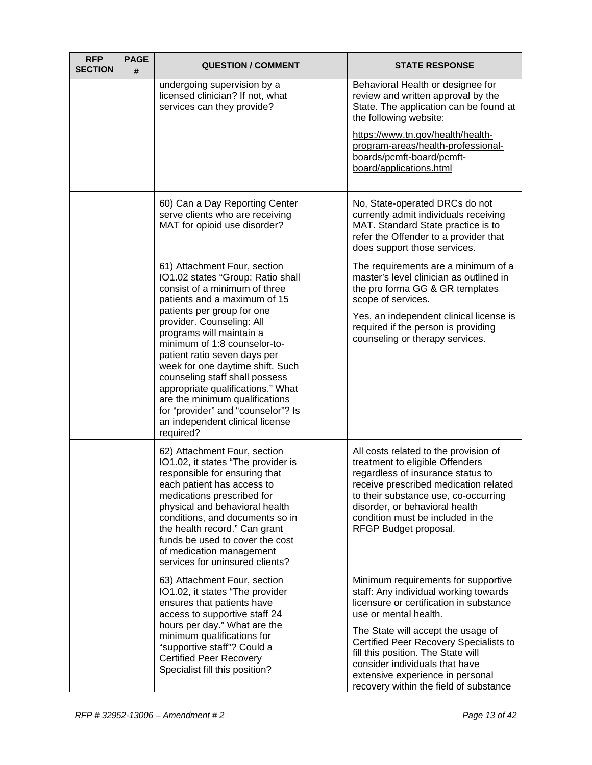| <b>RFP</b><br><b>SECTION</b> | <b>PAGE</b><br># | <b>QUESTION / COMMENT</b>                                                                                                                                                                                                                                                                                                                                                                                                                                                                                                    | <b>STATE RESPONSE</b>                                                                                                                                                                                                                                                                                                                                                                  |
|------------------------------|------------------|------------------------------------------------------------------------------------------------------------------------------------------------------------------------------------------------------------------------------------------------------------------------------------------------------------------------------------------------------------------------------------------------------------------------------------------------------------------------------------------------------------------------------|----------------------------------------------------------------------------------------------------------------------------------------------------------------------------------------------------------------------------------------------------------------------------------------------------------------------------------------------------------------------------------------|
|                              |                  | undergoing supervision by a<br>licensed clinician? If not, what<br>services can they provide?                                                                                                                                                                                                                                                                                                                                                                                                                                | Behavioral Health or designee for<br>review and written approval by the<br>State. The application can be found at<br>the following website:<br>https://www.tn.gov/health/health-<br>program-areas/health-professional-<br>boards/pcmft-board/pcmft-<br>board/applications.html                                                                                                         |
|                              |                  | 60) Can a Day Reporting Center<br>serve clients who are receiving<br>MAT for opioid use disorder?                                                                                                                                                                                                                                                                                                                                                                                                                            | No, State-operated DRCs do not<br>currently admit individuals receiving<br>MAT. Standard State practice is to<br>refer the Offender to a provider that<br>does support those services.                                                                                                                                                                                                 |
|                              |                  | 61) Attachment Four, section<br>IO1.02 states "Group: Ratio shall<br>consist of a minimum of three<br>patients and a maximum of 15<br>patients per group for one<br>provider. Counseling: All<br>programs will maintain a<br>minimum of 1:8 counselor-to-<br>patient ratio seven days per<br>week for one daytime shift. Such<br>counseling staff shall possess<br>appropriate qualifications." What<br>are the minimum qualifications<br>for "provider" and "counselor"? Is<br>an independent clinical license<br>required? | The requirements are a minimum of a<br>master's level clinician as outlined in<br>the pro forma GG & GR templates<br>scope of services.<br>Yes, an independent clinical license is<br>required if the person is providing<br>counseling or therapy services.                                                                                                                           |
|                              |                  | 62) Attachment Four, section<br>IO1.02, it states "The provider is<br>responsible for ensuring that<br>each patient has access to<br>medications prescribed for<br>physical and behavioral health<br>conditions, and documents so in<br>the health record." Can grant<br>funds be used to cover the cost<br>of medication management<br>services for uninsured clients?                                                                                                                                                      | All costs related to the provision of<br>treatment to eligible Offenders<br>regardless of insurance status to<br>receive prescribed medication related<br>to their substance use, co-occurring<br>disorder, or behavioral health<br>condition must be included in the<br>RFGP Budget proposal.                                                                                         |
|                              |                  | 63) Attachment Four, section<br>IO1.02, it states "The provider<br>ensures that patients have<br>access to supportive staff 24<br>hours per day." What are the<br>minimum qualifications for<br>"supportive staff"? Could a<br><b>Certified Peer Recovery</b><br>Specialist fill this position?                                                                                                                                                                                                                              | Minimum requirements for supportive<br>staff: Any individual working towards<br>licensure or certification in substance<br>use or mental health.<br>The State will accept the usage of<br>Certified Peer Recovery Specialists to<br>fill this position. The State will<br>consider individuals that have<br>extensive experience in personal<br>recovery within the field of substance |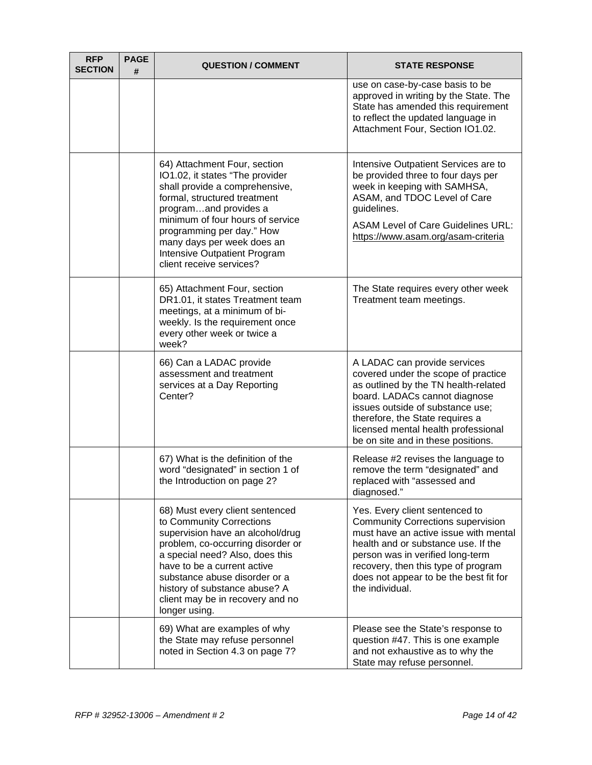| <b>RFP</b><br><b>SECTION</b> | <b>PAGE</b><br># | <b>QUESTION / COMMENT</b>                                                                                                                                                                                                                                                                                                     | <b>STATE RESPONSE</b>                                                                                                                                                                                                                                                                              |
|------------------------------|------------------|-------------------------------------------------------------------------------------------------------------------------------------------------------------------------------------------------------------------------------------------------------------------------------------------------------------------------------|----------------------------------------------------------------------------------------------------------------------------------------------------------------------------------------------------------------------------------------------------------------------------------------------------|
|                              |                  |                                                                                                                                                                                                                                                                                                                               | use on case-by-case basis to be<br>approved in writing by the State. The<br>State has amended this requirement<br>to reflect the updated language in<br>Attachment Four, Section IO1.02.                                                                                                           |
|                              |                  | 64) Attachment Four, section<br>IO1.02, it states "The provider<br>shall provide a comprehensive,<br>formal, structured treatment<br>programand provides a<br>minimum of four hours of service<br>programming per day." How<br>many days per week does an<br>Intensive Outpatient Program<br>client receive services?         | Intensive Outpatient Services are to<br>be provided three to four days per<br>week in keeping with SAMHSA,<br>ASAM, and TDOC Level of Care<br>guidelines.<br><b>ASAM Level of Care Guidelines URL:</b><br>https://www.asam.org/asam-criteria                                                       |
|                              |                  | 65) Attachment Four, section<br>DR1.01, it states Treatment team<br>meetings, at a minimum of bi-<br>weekly. Is the requirement once<br>every other week or twice a<br>week?                                                                                                                                                  | The State requires every other week<br>Treatment team meetings.                                                                                                                                                                                                                                    |
|                              |                  | 66) Can a LADAC provide<br>assessment and treatment<br>services at a Day Reporting<br>Center?                                                                                                                                                                                                                                 | A LADAC can provide services<br>covered under the scope of practice<br>as outlined by the TN health-related<br>board. LADACs cannot diagnose<br>issues outside of substance use;<br>therefore, the State requires a<br>licensed mental health professional<br>be on site and in these positions.   |
|                              |                  | 67) What is the definition of the<br>word "designated" in section 1 of<br>the Introduction on page 2?                                                                                                                                                                                                                         | Release #2 revises the language to<br>remove the term "designated" and<br>replaced with "assessed and<br>diagnosed."                                                                                                                                                                               |
|                              |                  | 68) Must every client sentenced<br>to Community Corrections<br>supervision have an alcohol/drug<br>problem, co-occurring disorder or<br>a special need? Also, does this<br>have to be a current active<br>substance abuse disorder or a<br>history of substance abuse? A<br>client may be in recovery and no<br>longer using. | Yes. Every client sentenced to<br><b>Community Corrections supervision</b><br>must have an active issue with mental<br>health and or substance use. If the<br>person was in verified long-term<br>recovery, then this type of program<br>does not appear to be the best fit for<br>the individual. |
|                              |                  | 69) What are examples of why<br>the State may refuse personnel<br>noted in Section 4.3 on page 7?                                                                                                                                                                                                                             | Please see the State's response to<br>question #47. This is one example<br>and not exhaustive as to why the<br>State may refuse personnel.                                                                                                                                                         |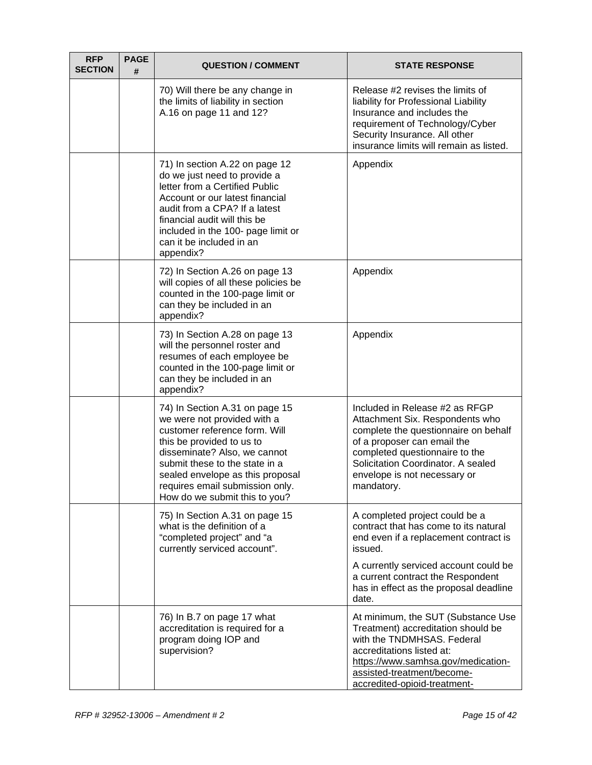| <b>RFP</b><br><b>SECTION</b> | <b>PAGE</b><br># | <b>QUESTION / COMMENT</b>                                                                                                                                                                                                                                                                             | <b>STATE RESPONSE</b>                                                                                                                                                                                                                                          |
|------------------------------|------------------|-------------------------------------------------------------------------------------------------------------------------------------------------------------------------------------------------------------------------------------------------------------------------------------------------------|----------------------------------------------------------------------------------------------------------------------------------------------------------------------------------------------------------------------------------------------------------------|
|                              |                  | 70) Will there be any change in<br>the limits of liability in section<br>A.16 on page 11 and 12?                                                                                                                                                                                                      | Release #2 revises the limits of<br>liability for Professional Liability<br>Insurance and includes the<br>requirement of Technology/Cyber<br>Security Insurance. All other<br>insurance limits will remain as listed.                                          |
|                              |                  | 71) In section A.22 on page 12<br>do we just need to provide a<br>letter from a Certified Public<br>Account or our latest financial<br>audit from a CPA? If a latest<br>financial audit will this be<br>included in the 100- page limit or<br>can it be included in an<br>appendix?                   | Appendix                                                                                                                                                                                                                                                       |
|                              |                  | 72) In Section A.26 on page 13<br>will copies of all these policies be<br>counted in the 100-page limit or<br>can they be included in an<br>appendix?                                                                                                                                                 | Appendix                                                                                                                                                                                                                                                       |
|                              |                  | 73) In Section A.28 on page 13<br>will the personnel roster and<br>resumes of each employee be<br>counted in the 100-page limit or<br>can they be included in an<br>appendix?                                                                                                                         | Appendix                                                                                                                                                                                                                                                       |
|                              |                  | 74) In Section A.31 on page 15<br>we were not provided with a<br>customer reference form. Will<br>this be provided to us to<br>disseminate? Also, we cannot<br>submit these to the state in a<br>sealed envelope as this proposal<br>requires email submission only.<br>How do we submit this to you? | Included in Release #2 as RFGP<br>Attachment Six. Respondents who<br>complete the questionnaire on behalf<br>of a proposer can email the<br>completed questionnaire to the<br>Solicitation Coordinator. A sealed<br>envelope is not necessary or<br>mandatory. |
|                              |                  | 75) In Section A.31 on page 15<br>what is the definition of a<br>"completed project" and "a<br>currently serviced account".                                                                                                                                                                           | A completed project could be a<br>contract that has come to its natural<br>end even if a replacement contract is<br>issued.<br>A currently serviced account could be<br>a current contract the Respondent<br>has in effect as the proposal deadline            |
|                              |                  | 76) In B.7 on page 17 what                                                                                                                                                                                                                                                                            | date.<br>At minimum, the SUT (Substance Use                                                                                                                                                                                                                    |
|                              |                  | accreditation is required for a<br>program doing IOP and<br>supervision?                                                                                                                                                                                                                              | Treatment) accreditation should be<br>with the TNDMHSAS. Federal<br>accreditations listed at:<br>https://www.samhsa.gov/medication-<br>assisted-treatment/become-<br>accredited-opioid-treatment-                                                              |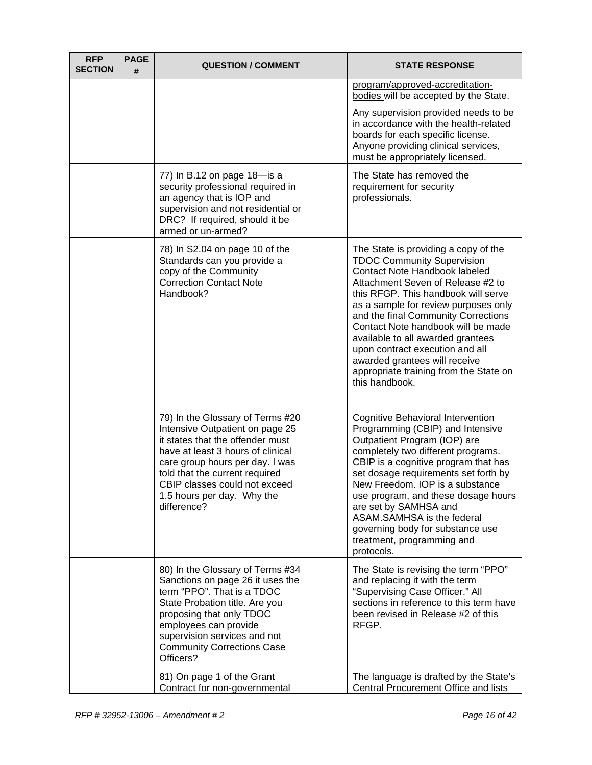| <b>RFP</b><br><b>SECTION</b> | <b>PAGE</b><br># | <b>QUESTION / COMMENT</b>                                                                                                                                                                                                                                                                       | <b>STATE RESPONSE</b>                                                                                                                                                                                                                                                                                                                                                                                                                                                            |
|------------------------------|------------------|-------------------------------------------------------------------------------------------------------------------------------------------------------------------------------------------------------------------------------------------------------------------------------------------------|----------------------------------------------------------------------------------------------------------------------------------------------------------------------------------------------------------------------------------------------------------------------------------------------------------------------------------------------------------------------------------------------------------------------------------------------------------------------------------|
|                              |                  |                                                                                                                                                                                                                                                                                                 | program/approved-accreditation-<br>bodies will be accepted by the State.                                                                                                                                                                                                                                                                                                                                                                                                         |
|                              |                  |                                                                                                                                                                                                                                                                                                 | Any supervision provided needs to be<br>in accordance with the health-related<br>boards for each specific license.<br>Anyone providing clinical services,<br>must be appropriately licensed.                                                                                                                                                                                                                                                                                     |
|                              |                  | 77) In B.12 on page 18-is a<br>security professional required in<br>an agency that is IOP and<br>supervision and not residential or<br>DRC? If required, should it be<br>armed or un-armed?                                                                                                     | The State has removed the<br>requirement for security<br>professionals.                                                                                                                                                                                                                                                                                                                                                                                                          |
|                              |                  | 78) In S2.04 on page 10 of the<br>Standards can you provide a<br>copy of the Community<br><b>Correction Contact Note</b><br>Handbook?                                                                                                                                                           | The State is providing a copy of the<br><b>TDOC Community Supervision</b><br>Contact Note Handbook labeled<br>Attachment Seven of Release #2 to<br>this RFGP. This handbook will serve<br>as a sample for review purposes only<br>and the final Community Corrections<br>Contact Note handbook will be made<br>available to all awarded grantees<br>upon contract execution and all<br>awarded grantees will receive<br>appropriate training from the State on<br>this handbook. |
|                              |                  | 79) In the Glossary of Terms #20<br>Intensive Outpatient on page 25<br>it states that the offender must<br>have at least 3 hours of clinical<br>care group hours per day. I was<br>told that the current required<br>CBIP classes could not exceed<br>1.5 hours per day. Why the<br>difference? | Cognitive Behavioral Intervention<br>Programming (CBIP) and Intensive<br>Outpatient Program (IOP) are<br>completely two different programs.<br>CBIP is a cognitive program that has<br>set dosage requirements set forth by<br>New Freedom, IOP is a substance<br>use program, and these dosage hours<br>are set by SAMHSA and<br>ASAM.SAMHSA is the federal<br>governing body for substance use<br>treatment, programming and<br>protocols.                                     |
|                              |                  | 80) In the Glossary of Terms #34<br>Sanctions on page 26 it uses the<br>term "PPO". That is a TDOC<br>State Probation title. Are you<br>proposing that only TDOC<br>employees can provide<br>supervision services and not<br><b>Community Corrections Case</b><br>Officers?                     | The State is revising the term "PPO"<br>and replacing it with the term<br>"Supervising Case Officer." All<br>sections in reference to this term have<br>been revised in Release #2 of this<br>RFGP.                                                                                                                                                                                                                                                                              |
|                              |                  | 81) On page 1 of the Grant<br>Contract for non-governmental                                                                                                                                                                                                                                     | The language is drafted by the State's<br>Central Procurement Office and lists                                                                                                                                                                                                                                                                                                                                                                                                   |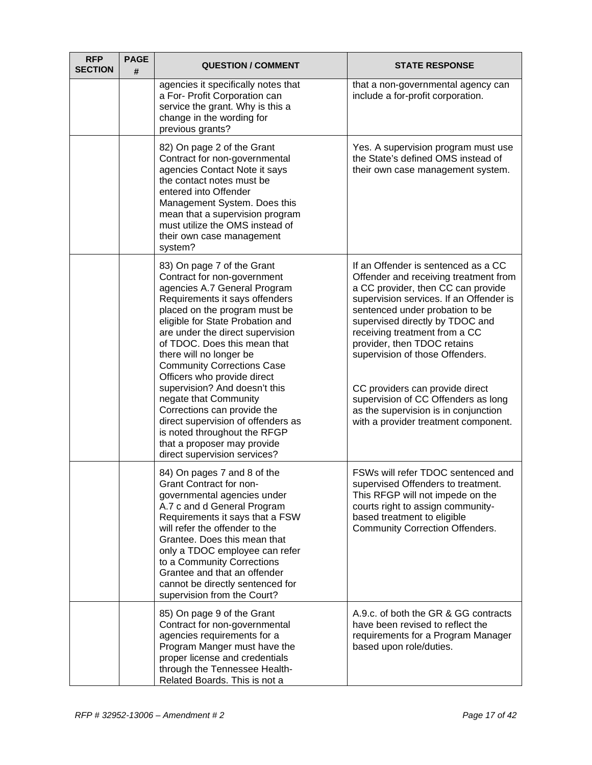| <b>RFP</b><br><b>SECTION</b> | <b>PAGE</b><br># | <b>QUESTION / COMMENT</b>                                                                                                                                                                                                                                                                                                                                                                                                                                                                                                                                         | <b>STATE RESPONSE</b>                                                                                                                                                                                                                                                                                                                                                                                                                                                                            |
|------------------------------|------------------|-------------------------------------------------------------------------------------------------------------------------------------------------------------------------------------------------------------------------------------------------------------------------------------------------------------------------------------------------------------------------------------------------------------------------------------------------------------------------------------------------------------------------------------------------------------------|--------------------------------------------------------------------------------------------------------------------------------------------------------------------------------------------------------------------------------------------------------------------------------------------------------------------------------------------------------------------------------------------------------------------------------------------------------------------------------------------------|
|                              |                  | agencies it specifically notes that<br>a For- Profit Corporation can<br>service the grant. Why is this a<br>change in the wording for<br>previous grants?                                                                                                                                                                                                                                                                                                                                                                                                         | that a non-governmental agency can<br>include a for-profit corporation.                                                                                                                                                                                                                                                                                                                                                                                                                          |
|                              |                  | 82) On page 2 of the Grant<br>Contract for non-governmental<br>agencies Contact Note it says<br>the contact notes must be<br>entered into Offender<br>Management System. Does this<br>mean that a supervision program<br>must utilize the OMS instead of<br>their own case management<br>system?                                                                                                                                                                                                                                                                  | Yes. A supervision program must use<br>the State's defined OMS instead of<br>their own case management system.                                                                                                                                                                                                                                                                                                                                                                                   |
|                              |                  | 83) On page 7 of the Grant<br>Contract for non-government<br>agencies A.7 General Program<br>Requirements it says offenders<br>placed on the program must be<br>eligible for State Probation and<br>are under the direct supervision<br>of TDOC. Does this mean that<br>there will no longer be<br><b>Community Corrections Case</b><br>Officers who provide direct<br>supervision? And doesn't this<br>negate that Community<br>Corrections can provide the<br>direct supervision of offenders as<br>is noted throughout the RFGP<br>that a proposer may provide | If an Offender is sentenced as a CC<br>Offender and receiving treatment from<br>a CC provider, then CC can provide<br>supervision services. If an Offender is<br>sentenced under probation to be<br>supervised directly by TDOC and<br>receiving treatment from a CC<br>provider, then TDOC retains<br>supervision of those Offenders.<br>CC providers can provide direct<br>supervision of CC Offenders as long<br>as the supervision is in conjunction<br>with a provider treatment component. |
|                              |                  | direct supervision services?<br>84) On pages 7 and 8 of the<br>Grant Contract for non-<br>governmental agencies under<br>A.7 c and d General Program<br>Requirements it says that a FSW<br>will refer the offender to the<br>Grantee. Does this mean that<br>only a TDOC employee can refer<br>to a Community Corrections<br>Grantee and that an offender<br>cannot be directly sentenced for<br>supervision from the Court?                                                                                                                                      | FSWs will refer TDOC sentenced and<br>supervised Offenders to treatment.<br>This RFGP will not impede on the<br>courts right to assign community-<br>based treatment to eligible<br><b>Community Correction Offenders.</b>                                                                                                                                                                                                                                                                       |
|                              |                  | 85) On page 9 of the Grant<br>Contract for non-governmental<br>agencies requirements for a<br>Program Manger must have the<br>proper license and credentials<br>through the Tennessee Health-<br>Related Boards. This is not a                                                                                                                                                                                                                                                                                                                                    | A.9.c. of both the GR & GG contracts<br>have been revised to reflect the<br>requirements for a Program Manager<br>based upon role/duties.                                                                                                                                                                                                                                                                                                                                                        |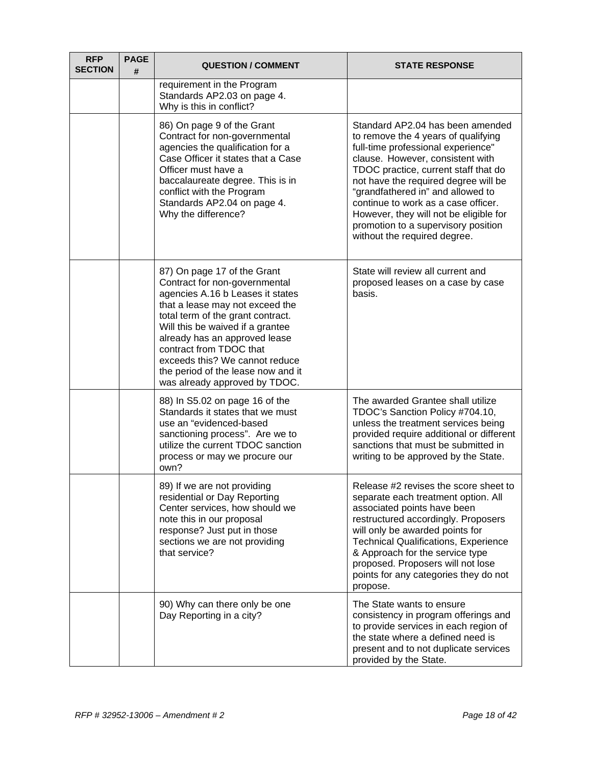| <b>RFP</b><br><b>SECTION</b> | <b>PAGE</b><br># | <b>QUESTION / COMMENT</b>                                                                                                                                                                                                                                                                                                                                                         | <b>STATE RESPONSE</b>                                                                                                                                                                                                                                                                                                                                                                                                          |
|------------------------------|------------------|-----------------------------------------------------------------------------------------------------------------------------------------------------------------------------------------------------------------------------------------------------------------------------------------------------------------------------------------------------------------------------------|--------------------------------------------------------------------------------------------------------------------------------------------------------------------------------------------------------------------------------------------------------------------------------------------------------------------------------------------------------------------------------------------------------------------------------|
|                              |                  | requirement in the Program<br>Standards AP2.03 on page 4.<br>Why is this in conflict?                                                                                                                                                                                                                                                                                             |                                                                                                                                                                                                                                                                                                                                                                                                                                |
|                              |                  | 86) On page 9 of the Grant<br>Contract for non-governmental<br>agencies the qualification for a<br>Case Officer it states that a Case<br>Officer must have a<br>baccalaureate degree. This is in<br>conflict with the Program<br>Standards AP2.04 on page 4.<br>Why the difference?                                                                                               | Standard AP2.04 has been amended<br>to remove the 4 years of qualifying<br>full-time professional experience"<br>clause. However, consistent with<br>TDOC practice, current staff that do<br>not have the required degree will be<br>"grandfathered in" and allowed to<br>continue to work as a case officer.<br>However, they will not be eligible for<br>promotion to a supervisory position<br>without the required degree. |
|                              |                  | 87) On page 17 of the Grant<br>Contract for non-governmental<br>agencies A.16 b Leases it states<br>that a lease may not exceed the<br>total term of the grant contract.<br>Will this be waived if a grantee<br>already has an approved lease<br>contract from TDOC that<br>exceeds this? We cannot reduce<br>the period of the lease now and it<br>was already approved by TDOC. | State will review all current and<br>proposed leases on a case by case<br>basis.                                                                                                                                                                                                                                                                                                                                               |
|                              |                  | 88) In S5.02 on page 16 of the<br>Standards it states that we must<br>use an "evidenced-based<br>sanctioning process". Are we to<br>utilize the current TDOC sanction<br>process or may we procure our<br>own?                                                                                                                                                                    | The awarded Grantee shall utilize<br>TDOC's Sanction Policy #704.10,<br>unless the treatment services being<br>provided require additional or different<br>sanctions that must be submitted in<br>writing to be approved by the State.                                                                                                                                                                                         |
|                              |                  | 89) If we are not providing<br>residential or Day Reporting<br>Center services, how should we<br>note this in our proposal<br>response? Just put in those<br>sections we are not providing<br>that service?                                                                                                                                                                       | Release #2 revises the score sheet to<br>separate each treatment option. All<br>associated points have been<br>restructured accordingly. Proposers<br>will only be awarded points for<br><b>Technical Qualifications, Experience</b><br>& Approach for the service type<br>proposed. Proposers will not lose<br>points for any categories they do not<br>propose.                                                              |
|                              |                  | 90) Why can there only be one<br>Day Reporting in a city?                                                                                                                                                                                                                                                                                                                         | The State wants to ensure<br>consistency in program offerings and<br>to provide services in each region of<br>the state where a defined need is<br>present and to not duplicate services<br>provided by the State.                                                                                                                                                                                                             |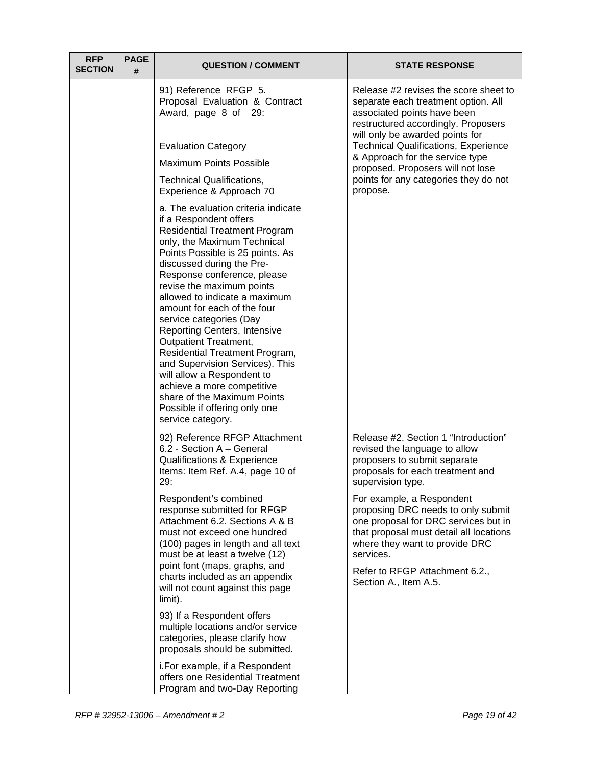| <b>RFP</b><br><b>SECTION</b> | <b>PAGE</b><br># | <b>QUESTION / COMMENT</b>                                                                                                                                                                                                                                                                                                                                                                                                                                                                                                                                                                                                                                 | <b>STATE RESPONSE</b>                                                                                                                                                                                                                                        |
|------------------------------|------------------|-----------------------------------------------------------------------------------------------------------------------------------------------------------------------------------------------------------------------------------------------------------------------------------------------------------------------------------------------------------------------------------------------------------------------------------------------------------------------------------------------------------------------------------------------------------------------------------------------------------------------------------------------------------|--------------------------------------------------------------------------------------------------------------------------------------------------------------------------------------------------------------------------------------------------------------|
|                              |                  | 91) Reference RFGP 5.<br>Proposal Evaluation & Contract<br>Award, page 8 of 29:                                                                                                                                                                                                                                                                                                                                                                                                                                                                                                                                                                           | Release #2 revises the score sheet to<br>separate each treatment option. All<br>associated points have been<br>restructured accordingly. Proposers                                                                                                           |
|                              |                  | <b>Evaluation Category</b>                                                                                                                                                                                                                                                                                                                                                                                                                                                                                                                                                                                                                                | will only be awarded points for<br><b>Technical Qualifications, Experience</b>                                                                                                                                                                               |
|                              |                  | <b>Maximum Points Possible</b>                                                                                                                                                                                                                                                                                                                                                                                                                                                                                                                                                                                                                            | & Approach for the service type<br>proposed. Proposers will not lose                                                                                                                                                                                         |
|                              |                  | Technical Qualifications,<br>Experience & Approach 70                                                                                                                                                                                                                                                                                                                                                                                                                                                                                                                                                                                                     | points for any categories they do not<br>propose.                                                                                                                                                                                                            |
|                              |                  | a. The evaluation criteria indicate<br>if a Respondent offers<br><b>Residential Treatment Program</b><br>only, the Maximum Technical<br>Points Possible is 25 points. As<br>discussed during the Pre-<br>Response conference, please<br>revise the maximum points<br>allowed to indicate a maximum<br>amount for each of the four<br>service categories (Day<br><b>Reporting Centers, Intensive</b><br><b>Outpatient Treatment,</b><br>Residential Treatment Program,<br>and Supervision Services). This<br>will allow a Respondent to<br>achieve a more competitive<br>share of the Maximum Points<br>Possible if offering only one<br>service category. |                                                                                                                                                                                                                                                              |
|                              |                  | 92) Reference RFGP Attachment<br>6.2 - Section A - General<br><b>Qualifications &amp; Experience</b><br>Items: Item Ref. A.4, page 10 of<br>29:                                                                                                                                                                                                                                                                                                                                                                                                                                                                                                           | Release #2, Section 1 "Introduction"<br>revised the language to allow<br>proposers to submit separate<br>proposals for each treatment and<br>supervision type.                                                                                               |
|                              |                  | Respondent's combined<br>response submitted for RFGP<br>Attachment 6.2. Sections A & B<br>must not exceed one hundred<br>(100) pages in length and all text<br>must be at least a twelve (12)<br>point font (maps, graphs, and<br>charts included as an appendix<br>will not count against this page<br>limit).                                                                                                                                                                                                                                                                                                                                           | For example, a Respondent<br>proposing DRC needs to only submit<br>one proposal for DRC services but in<br>that proposal must detail all locations<br>where they want to provide DRC<br>services.<br>Refer to RFGP Attachment 6.2.,<br>Section A., Item A.5. |
|                              |                  | 93) If a Respondent offers<br>multiple locations and/or service<br>categories, please clarify how<br>proposals should be submitted.                                                                                                                                                                                                                                                                                                                                                                                                                                                                                                                       |                                                                                                                                                                                                                                                              |
|                              |                  | i. For example, if a Respondent<br>offers one Residential Treatment<br>Program and two-Day Reporting                                                                                                                                                                                                                                                                                                                                                                                                                                                                                                                                                      |                                                                                                                                                                                                                                                              |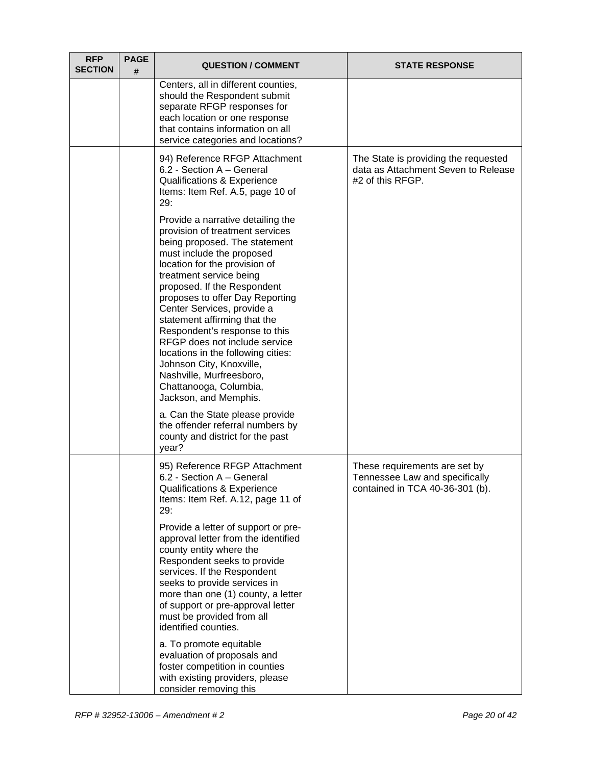| <b>RFP</b><br><b>SECTION</b> | <b>PAGE</b><br># | <b>QUESTION / COMMENT</b>                                                                                                                                                                                                                                                                                                                                                                                                                                                                                                                                                                                                                                    | <b>STATE RESPONSE</b>                                                                              |
|------------------------------|------------------|--------------------------------------------------------------------------------------------------------------------------------------------------------------------------------------------------------------------------------------------------------------------------------------------------------------------------------------------------------------------------------------------------------------------------------------------------------------------------------------------------------------------------------------------------------------------------------------------------------------------------------------------------------------|----------------------------------------------------------------------------------------------------|
|                              |                  | Centers, all in different counties,<br>should the Respondent submit<br>separate RFGP responses for<br>each location or one response<br>that contains information on all<br>service categories and locations?                                                                                                                                                                                                                                                                                                                                                                                                                                                 |                                                                                                    |
|                              |                  | 94) Reference RFGP Attachment<br>6.2 - Section A - General<br>Qualifications & Experience<br>Items: Item Ref. A.5, page 10 of<br>29:                                                                                                                                                                                                                                                                                                                                                                                                                                                                                                                         | The State is providing the requested<br>data as Attachment Seven to Release<br>#2 of this RFGP.    |
|                              |                  | Provide a narrative detailing the<br>provision of treatment services<br>being proposed. The statement<br>must include the proposed<br>location for the provision of<br>treatment service being<br>proposed. If the Respondent<br>proposes to offer Day Reporting<br>Center Services, provide a<br>statement affirming that the<br>Respondent's response to this<br>RFGP does not include service<br>locations in the following cities:<br>Johnson City, Knoxville,<br>Nashville, Murfreesboro,<br>Chattanooga, Columbia,<br>Jackson, and Memphis.<br>a. Can the State please provide<br>the offender referral numbers by<br>county and district for the past |                                                                                                    |
|                              |                  | year?<br>95) Reference RFGP Attachment<br>6.2 - Section A - General<br>Qualifications & Experience<br>Items: Item Ref. A.12, page 11 of<br>29:                                                                                                                                                                                                                                                                                                                                                                                                                                                                                                               | These requirements are set by<br>Tennessee Law and specifically<br>contained in TCA 40-36-301 (b). |
|                              |                  | Provide a letter of support or pre-<br>approval letter from the identified<br>county entity where the<br>Respondent seeks to provide<br>services. If the Respondent<br>seeks to provide services in<br>more than one (1) county, a letter<br>of support or pre-approval letter<br>must be provided from all<br>identified counties.                                                                                                                                                                                                                                                                                                                          |                                                                                                    |
|                              |                  | a. To promote equitable<br>evaluation of proposals and<br>foster competition in counties<br>with existing providers, please<br>consider removing this                                                                                                                                                                                                                                                                                                                                                                                                                                                                                                        |                                                                                                    |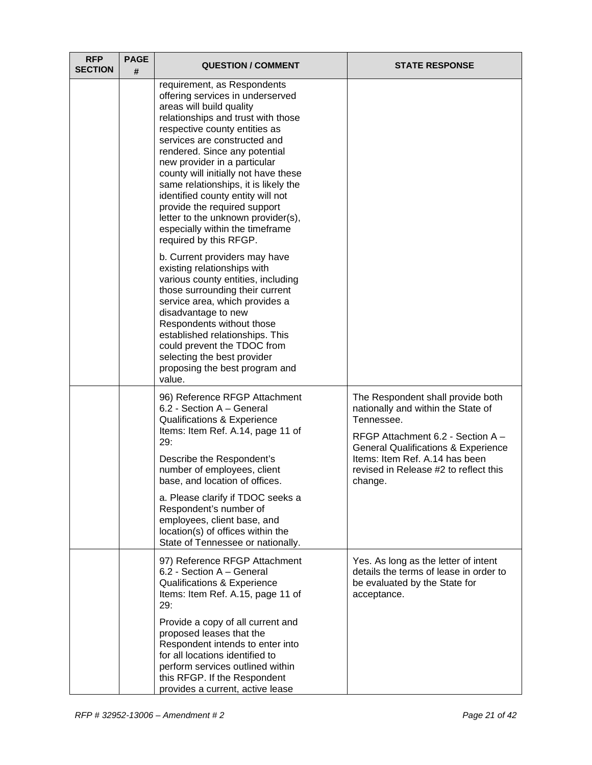| <b>RFP</b><br><b>SECTION</b> | <b>PAGE</b><br># | <b>QUESTION / COMMENT</b>                                                                                                                                                                                                                                                                                                                                                                                                                                                                                                   | <b>STATE RESPONSE</b>                                                                                                                                                                                                                                              |
|------------------------------|------------------|-----------------------------------------------------------------------------------------------------------------------------------------------------------------------------------------------------------------------------------------------------------------------------------------------------------------------------------------------------------------------------------------------------------------------------------------------------------------------------------------------------------------------------|--------------------------------------------------------------------------------------------------------------------------------------------------------------------------------------------------------------------------------------------------------------------|
|                              |                  | requirement, as Respondents<br>offering services in underserved<br>areas will build quality<br>relationships and trust with those<br>respective county entities as<br>services are constructed and<br>rendered. Since any potential<br>new provider in a particular<br>county will initially not have these<br>same relationships, it is likely the<br>identified county entity will not<br>provide the required support<br>letter to the unknown provider(s),<br>especially within the timeframe<br>required by this RFGP. |                                                                                                                                                                                                                                                                    |
|                              |                  | b. Current providers may have<br>existing relationships with<br>various county entities, including<br>those surrounding their current<br>service area, which provides a<br>disadvantage to new<br>Respondents without those<br>established relationships. This<br>could prevent the TDOC from<br>selecting the best provider<br>proposing the best program and<br>value.                                                                                                                                                    |                                                                                                                                                                                                                                                                    |
|                              |                  | 96) Reference RFGP Attachment<br>6.2 - Section A - General<br>Qualifications & Experience<br>Items: Item Ref. A.14, page 11 of<br>29:<br>Describe the Respondent's<br>number of employees, client<br>base, and location of offices.<br>a. Please clarify if TDOC seeks a                                                                                                                                                                                                                                                    | The Respondent shall provide both<br>nationally and within the State of<br>Tennessee.<br>RFGP Attachment 6.2 - Section A -<br><b>General Qualifications &amp; Experience</b><br>Items: Item Ref. A.14 has been<br>revised in Release #2 to reflect this<br>change. |
|                              |                  | Respondent's number of<br>employees, client base, and<br>location(s) of offices within the<br>State of Tennessee or nationally.                                                                                                                                                                                                                                                                                                                                                                                             |                                                                                                                                                                                                                                                                    |
|                              |                  | 97) Reference RFGP Attachment<br>6.2 - Section A - General<br>Qualifications & Experience<br>Items: Item Ref. A.15, page 11 of<br>29:                                                                                                                                                                                                                                                                                                                                                                                       | Yes. As long as the letter of intent<br>details the terms of lease in order to<br>be evaluated by the State for<br>acceptance.                                                                                                                                     |
|                              |                  | Provide a copy of all current and<br>proposed leases that the<br>Respondent intends to enter into<br>for all locations identified to<br>perform services outlined within<br>this RFGP. If the Respondent<br>provides a current, active lease                                                                                                                                                                                                                                                                                |                                                                                                                                                                                                                                                                    |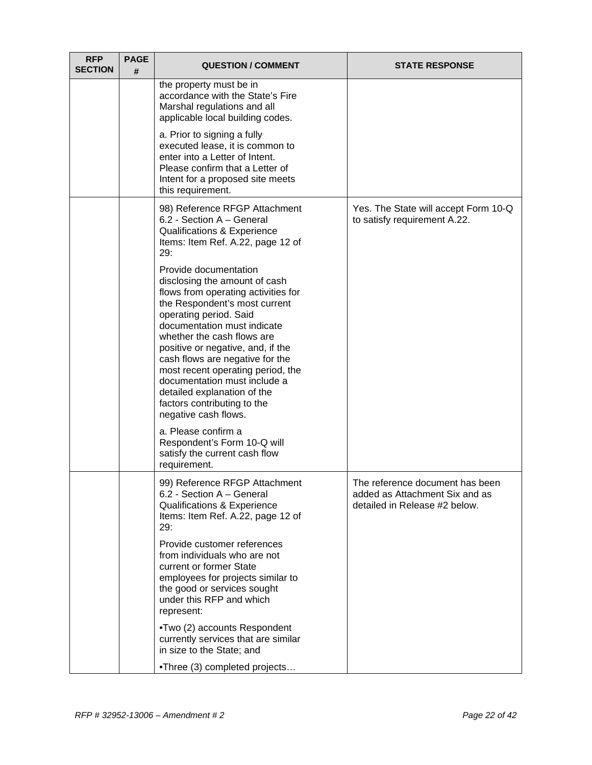| <b>RFP</b><br><b>SECTION</b> | <b>PAGE</b><br># | <b>QUESTION / COMMENT</b>                                                                                                                                                                                                                                                                                                                                                                                                                                                       | <b>STATE RESPONSE</b>                                                                              |
|------------------------------|------------------|---------------------------------------------------------------------------------------------------------------------------------------------------------------------------------------------------------------------------------------------------------------------------------------------------------------------------------------------------------------------------------------------------------------------------------------------------------------------------------|----------------------------------------------------------------------------------------------------|
|                              |                  | the property must be in<br>accordance with the State's Fire<br>Marshal regulations and all<br>applicable local building codes.                                                                                                                                                                                                                                                                                                                                                  |                                                                                                    |
|                              |                  | a. Prior to signing a fully<br>executed lease, it is common to<br>enter into a Letter of Intent.<br>Please confirm that a Letter of<br>Intent for a proposed site meets<br>this requirement.                                                                                                                                                                                                                                                                                    |                                                                                                    |
|                              |                  | 98) Reference RFGP Attachment<br>6.2 - Section A - General<br>Qualifications & Experience<br>Items: Item Ref. A.22, page 12 of<br>29:                                                                                                                                                                                                                                                                                                                                           | Yes. The State will accept Form 10-Q<br>to satisfy requirement A.22.                               |
|                              |                  | Provide documentation<br>disclosing the amount of cash<br>flows from operating activities for<br>the Respondent's most current<br>operating period. Said<br>documentation must indicate<br>whether the cash flows are<br>positive or negative, and, if the<br>cash flows are negative for the<br>most recent operating period, the<br>documentation must include a<br>detailed explanation of the<br>factors contributing to the<br>negative cash flows.<br>a. Please confirm a |                                                                                                    |
|                              |                  | Respondent's Form 10-Q will<br>satisfy the current cash flow<br>requirement.                                                                                                                                                                                                                                                                                                                                                                                                    |                                                                                                    |
|                              |                  | 99) Reference RFGP Attachment<br>6.2 - Section A - General<br>Qualifications & Experience<br>Items: Item Ref. A.22, page 12 of<br>29:                                                                                                                                                                                                                                                                                                                                           | The reference document has been<br>added as Attachment Six and as<br>detailed in Release #2 below. |
|                              |                  | Provide customer references<br>from individuals who are not<br>current or former State<br>employees for projects similar to<br>the good or services sought<br>under this RFP and which<br>represent:                                                                                                                                                                                                                                                                            |                                                                                                    |
|                              |                  | •Two (2) accounts Respondent<br>currently services that are similar<br>in size to the State; and                                                                                                                                                                                                                                                                                                                                                                                |                                                                                                    |
|                              |                  | •Three (3) completed projects                                                                                                                                                                                                                                                                                                                                                                                                                                                   |                                                                                                    |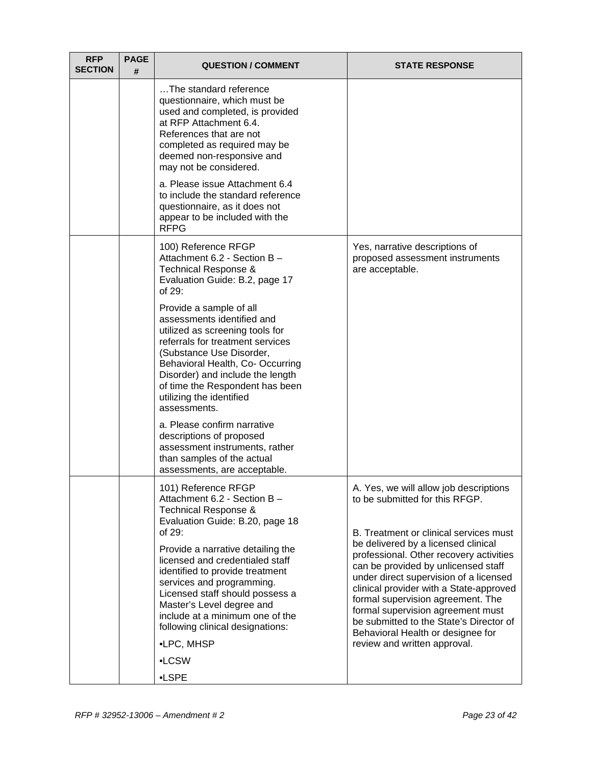| <b>RFP</b><br><b>SECTION</b> | <b>PAGE</b><br># | <b>QUESTION / COMMENT</b>                                                                                                                                                                                                                                                                                       | <b>STATE RESPONSE</b>                                                                                                                                                                                                                                                                                                                                                |
|------------------------------|------------------|-----------------------------------------------------------------------------------------------------------------------------------------------------------------------------------------------------------------------------------------------------------------------------------------------------------------|----------------------------------------------------------------------------------------------------------------------------------------------------------------------------------------------------------------------------------------------------------------------------------------------------------------------------------------------------------------------|
|                              |                  | The standard reference<br>questionnaire, which must be<br>used and completed, is provided<br>at RFP Attachment 6.4.<br>References that are not<br>completed as required may be<br>deemed non-responsive and<br>may not be considered.                                                                           |                                                                                                                                                                                                                                                                                                                                                                      |
|                              |                  | a. Please issue Attachment 6.4<br>to include the standard reference<br>questionnaire, as it does not<br>appear to be included with the<br><b>RFPG</b>                                                                                                                                                           |                                                                                                                                                                                                                                                                                                                                                                      |
|                              |                  | 100) Reference RFGP<br>Attachment 6.2 - Section B -<br>Technical Response &<br>Evaluation Guide: B.2, page 17<br>of $29$ :                                                                                                                                                                                      | Yes, narrative descriptions of<br>proposed assessment instruments<br>are acceptable.                                                                                                                                                                                                                                                                                 |
|                              |                  | Provide a sample of all<br>assessments identified and<br>utilized as screening tools for<br>referrals for treatment services<br>(Substance Use Disorder,<br>Behavioral Health, Co- Occurring<br>Disorder) and include the length<br>of time the Respondent has been<br>utilizing the identified<br>assessments. |                                                                                                                                                                                                                                                                                                                                                                      |
|                              |                  | a. Please confirm narrative<br>descriptions of proposed<br>assessment instruments, rather<br>than samples of the actual<br>assessments, are acceptable.                                                                                                                                                         |                                                                                                                                                                                                                                                                                                                                                                      |
|                              |                  | 101) Reference RFGP<br>Attachment 6.2 - Section B -<br>Technical Response &<br>Evaluation Guide: B.20, page 18<br>of 29:                                                                                                                                                                                        | A. Yes, we will allow job descriptions<br>to be submitted for this RFGP.<br>B. Treatment or clinical services must                                                                                                                                                                                                                                                   |
|                              |                  | Provide a narrative detailing the<br>licensed and credentialed staff<br>identified to provide treatment<br>services and programming.<br>Licensed staff should possess a<br>Master's Level degree and<br>include at a minimum one of the<br>following clinical designations:                                     | be delivered by a licensed clinical<br>professional. Other recovery activities<br>can be provided by unlicensed staff<br>under direct supervision of a licensed<br>clinical provider with a State-approved<br>formal supervision agreement. The<br>formal supervision agreement must<br>be submitted to the State's Director of<br>Behavioral Health or designee for |
|                              |                  | •LPC, MHSP                                                                                                                                                                                                                                                                                                      | review and written approval.                                                                                                                                                                                                                                                                                                                                         |
|                              |                  | •LCSW<br>$-LSPE$                                                                                                                                                                                                                                                                                                |                                                                                                                                                                                                                                                                                                                                                                      |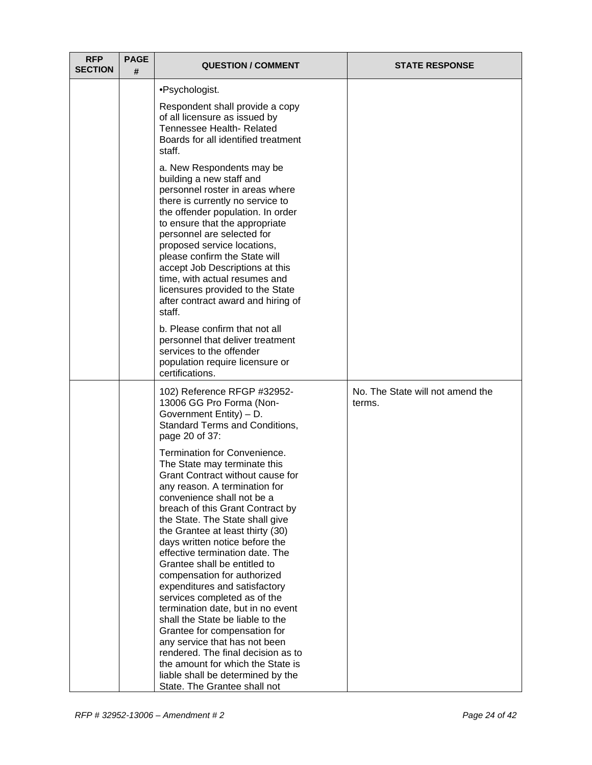| <b>RFP</b><br><b>SECTION</b> | <b>PAGE</b><br># | <b>QUESTION / COMMENT</b>                                                                                                                                                                                                                                                                                                                                                                                                                                                                                                                                                                                                                                                                                                                                                 | <b>STATE RESPONSE</b>                      |
|------------------------------|------------------|---------------------------------------------------------------------------------------------------------------------------------------------------------------------------------------------------------------------------------------------------------------------------------------------------------------------------------------------------------------------------------------------------------------------------------------------------------------------------------------------------------------------------------------------------------------------------------------------------------------------------------------------------------------------------------------------------------------------------------------------------------------------------|--------------------------------------------|
|                              |                  | •Psychologist.                                                                                                                                                                                                                                                                                                                                                                                                                                                                                                                                                                                                                                                                                                                                                            |                                            |
|                              |                  | Respondent shall provide a copy<br>of all licensure as issued by<br>Tennessee Health- Related<br>Boards for all identified treatment<br>staff.                                                                                                                                                                                                                                                                                                                                                                                                                                                                                                                                                                                                                            |                                            |
|                              |                  | a. New Respondents may be<br>building a new staff and<br>personnel roster in areas where<br>there is currently no service to<br>the offender population. In order<br>to ensure that the appropriate<br>personnel are selected for<br>proposed service locations,<br>please confirm the State will<br>accept Job Descriptions at this<br>time, with actual resumes and<br>licensures provided to the State<br>after contract award and hiring of<br>staff.                                                                                                                                                                                                                                                                                                                 |                                            |
|                              |                  | b. Please confirm that not all<br>personnel that deliver treatment<br>services to the offender<br>population require licensure or<br>certifications.                                                                                                                                                                                                                                                                                                                                                                                                                                                                                                                                                                                                                      |                                            |
|                              |                  | 102) Reference RFGP #32952-<br>13006 GG Pro Forma (Non-<br>Government Entity) - D.<br>Standard Terms and Conditions,<br>page 20 of 37:                                                                                                                                                                                                                                                                                                                                                                                                                                                                                                                                                                                                                                    | No. The State will not amend the<br>terms. |
|                              |                  | Termination for Convenience.<br>The State may terminate this<br>Grant Contract without cause for<br>any reason. A termination for<br>convenience shall not be a<br>breach of this Grant Contract by<br>the State. The State shall give<br>the Grantee at least thirty (30)<br>days written notice before the<br>effective termination date. The<br>Grantee shall be entitled to<br>compensation for authorized<br>expenditures and satisfactory<br>services completed as of the<br>termination date, but in no event<br>shall the State be liable to the<br>Grantee for compensation for<br>any service that has not been<br>rendered. The final decision as to<br>the amount for which the State is<br>liable shall be determined by the<br>State. The Grantee shall not |                                            |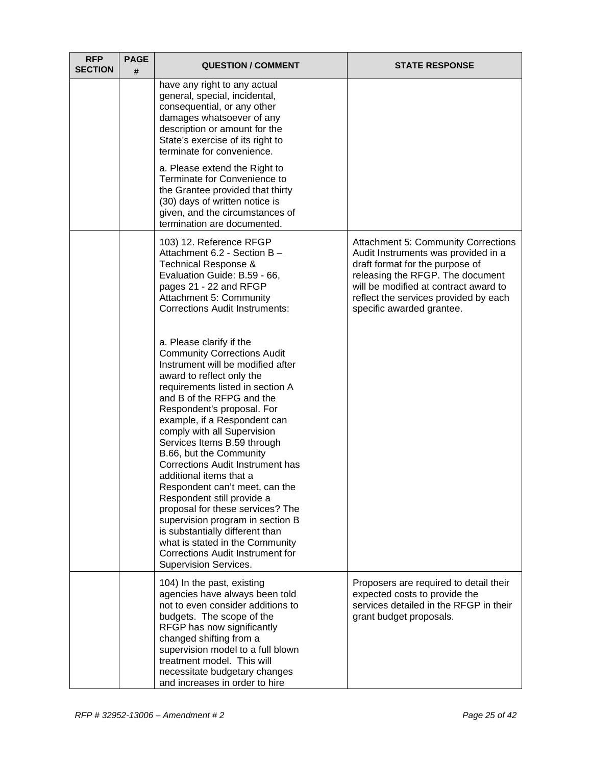| <b>RFP</b><br><b>SECTION</b> | <b>PAGE</b><br># | <b>QUESTION / COMMENT</b>                                                                                                                                                                                                                                                                                                                                                                                                                                                                                                                                                                                                                                                                                        | <b>STATE RESPONSE</b>                                                                                                                                                                                                                                                   |
|------------------------------|------------------|------------------------------------------------------------------------------------------------------------------------------------------------------------------------------------------------------------------------------------------------------------------------------------------------------------------------------------------------------------------------------------------------------------------------------------------------------------------------------------------------------------------------------------------------------------------------------------------------------------------------------------------------------------------------------------------------------------------|-------------------------------------------------------------------------------------------------------------------------------------------------------------------------------------------------------------------------------------------------------------------------|
|                              |                  | have any right to any actual<br>general, special, incidental,<br>consequential, or any other<br>damages whatsoever of any<br>description or amount for the<br>State's exercise of its right to<br>terminate for convenience.                                                                                                                                                                                                                                                                                                                                                                                                                                                                                     |                                                                                                                                                                                                                                                                         |
|                              |                  | a. Please extend the Right to<br>Terminate for Convenience to<br>the Grantee provided that thirty<br>(30) days of written notice is<br>given, and the circumstances of<br>termination are documented.                                                                                                                                                                                                                                                                                                                                                                                                                                                                                                            |                                                                                                                                                                                                                                                                         |
|                              |                  | 103) 12. Reference RFGP<br>Attachment 6.2 - Section B -<br>Technical Response &<br>Evaluation Guide: B.59 - 66,<br>pages 21 - 22 and RFGP<br>Attachment 5: Community<br><b>Corrections Audit Instruments:</b>                                                                                                                                                                                                                                                                                                                                                                                                                                                                                                    | <b>Attachment 5: Community Corrections</b><br>Audit Instruments was provided in a<br>draft format for the purpose of<br>releasing the RFGP. The document<br>will be modified at contract award to<br>reflect the services provided by each<br>specific awarded grantee. |
|                              |                  | a. Please clarify if the<br><b>Community Corrections Audit</b><br>Instrument will be modified after<br>award to reflect only the<br>requirements listed in section A<br>and B of the RFPG and the<br>Respondent's proposal. For<br>example, if a Respondent can<br>comply with all Supervision<br>Services Items B.59 through<br>B.66, but the Community<br><b>Corrections Audit Instrument has</b><br>additional items that a<br>Respondent can't meet, can the<br>Respondent still provide a<br>proposal for these services? The<br>supervision program in section B<br>is substantially different than<br>what is stated in the Community<br><b>Corrections Audit Instrument for</b><br>Supervision Services. |                                                                                                                                                                                                                                                                         |
|                              |                  | 104) In the past, existing<br>agencies have always been told<br>not to even consider additions to<br>budgets. The scope of the<br>RFGP has now significantly<br>changed shifting from a<br>supervision model to a full blown<br>treatment model. This will<br>necessitate budgetary changes<br>and increases in order to hire                                                                                                                                                                                                                                                                                                                                                                                    | Proposers are required to detail their<br>expected costs to provide the<br>services detailed in the RFGP in their<br>grant budget proposals.                                                                                                                            |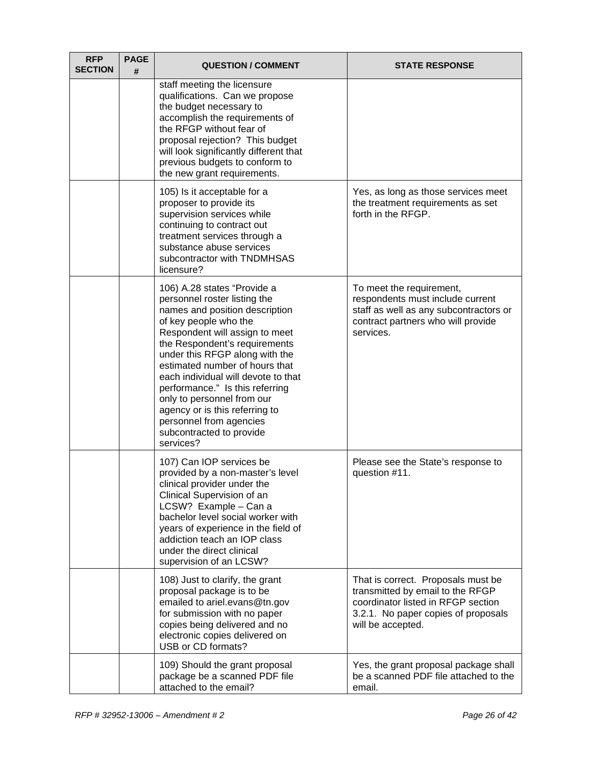| <b>RFP</b><br><b>SECTION</b> | <b>PAGE</b><br># | <b>QUESTION / COMMENT</b>                                                                                                                                                                                                                                                                                                                                                                                                                                                   | <b>STATE RESPONSE</b>                                                                                                                                                    |
|------------------------------|------------------|-----------------------------------------------------------------------------------------------------------------------------------------------------------------------------------------------------------------------------------------------------------------------------------------------------------------------------------------------------------------------------------------------------------------------------------------------------------------------------|--------------------------------------------------------------------------------------------------------------------------------------------------------------------------|
|                              |                  | staff meeting the licensure<br>qualifications. Can we propose<br>the budget necessary to<br>accomplish the requirements of<br>the RFGP without fear of<br>proposal rejection? This budget<br>will look significantly different that<br>previous budgets to conform to<br>the new grant requirements.                                                                                                                                                                        |                                                                                                                                                                          |
|                              |                  | 105) Is it acceptable for a<br>proposer to provide its<br>supervision services while<br>continuing to contract out<br>treatment services through a<br>substance abuse services<br>subcontractor with TNDMHSAS<br>licensure?                                                                                                                                                                                                                                                 | Yes, as long as those services meet<br>the treatment requirements as set<br>forth in the RFGP.                                                                           |
|                              |                  | 106) A.28 states "Provide a<br>personnel roster listing the<br>names and position description<br>of key people who the<br>Respondent will assign to meet<br>the Respondent's requirements<br>under this RFGP along with the<br>estimated number of hours that<br>each individual will devote to that<br>performance." Is this referring<br>only to personnel from our<br>agency or is this referring to<br>personnel from agencies<br>subcontracted to provide<br>services? | To meet the requirement,<br>respondents must include current<br>staff as well as any subcontractors or<br>contract partners who will provide<br>services.                |
|                              |                  | 107) Can IOP services be<br>provided by a non-master's level<br>clinical provider under the<br>Clinical Supervision of an<br>LCSW? Example - Can a<br>bachelor level social worker with<br>years of experience in the field of<br>addiction teach an IOP class<br>under the direct clinical<br>supervision of an LCSW?                                                                                                                                                      | Please see the State's response to<br>question #11.                                                                                                                      |
|                              |                  | 108) Just to clarify, the grant<br>proposal package is to be<br>emailed to ariel.evans@tn.gov<br>for submission with no paper<br>copies being delivered and no<br>electronic copies delivered on<br>USB or CD formats?                                                                                                                                                                                                                                                      | That is correct. Proposals must be<br>transmitted by email to the RFGP<br>coordinator listed in RFGP section<br>3.2.1. No paper copies of proposals<br>will be accepted. |
|                              |                  | 109) Should the grant proposal<br>package be a scanned PDF file<br>attached to the email?                                                                                                                                                                                                                                                                                                                                                                                   | Yes, the grant proposal package shall<br>be a scanned PDF file attached to the<br>email.                                                                                 |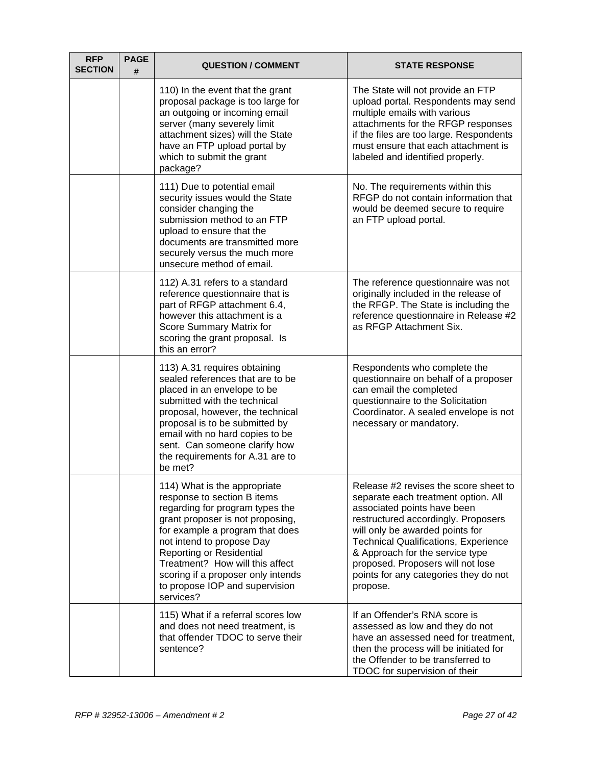| <b>RFP</b><br><b>SECTION</b> | <b>PAGE</b><br># | <b>QUESTION / COMMENT</b>                                                                                                                                                                                                                                                                                                                              | <b>STATE RESPONSE</b>                                                                                                                                                                                                                                                                                                                                             |
|------------------------------|------------------|--------------------------------------------------------------------------------------------------------------------------------------------------------------------------------------------------------------------------------------------------------------------------------------------------------------------------------------------------------|-------------------------------------------------------------------------------------------------------------------------------------------------------------------------------------------------------------------------------------------------------------------------------------------------------------------------------------------------------------------|
|                              |                  | 110) In the event that the grant<br>proposal package is too large for<br>an outgoing or incoming email<br>server (many severely limit<br>attachment sizes) will the State<br>have an FTP upload portal by<br>which to submit the grant<br>package?                                                                                                     | The State will not provide an FTP<br>upload portal. Respondents may send<br>multiple emails with various<br>attachments for the RFGP responses<br>if the files are too large. Respondents<br>must ensure that each attachment is<br>labeled and identified properly.                                                                                              |
|                              |                  | 111) Due to potential email<br>security issues would the State<br>consider changing the<br>submission method to an FTP<br>upload to ensure that the<br>documents are transmitted more<br>securely versus the much more<br>unsecure method of email.                                                                                                    | No. The requirements within this<br>RFGP do not contain information that<br>would be deemed secure to require<br>an FTP upload portal.                                                                                                                                                                                                                            |
|                              |                  | 112) A.31 refers to a standard<br>reference questionnaire that is<br>part of RFGP attachment 6.4,<br>however this attachment is a<br>Score Summary Matrix for<br>scoring the grant proposal. Is<br>this an error?                                                                                                                                      | The reference questionnaire was not<br>originally included in the release of<br>the RFGP. The State is including the<br>reference questionnaire in Release #2<br>as RFGP Attachment Six.                                                                                                                                                                          |
|                              |                  | 113) A.31 requires obtaining<br>sealed references that are to be<br>placed in an envelope to be<br>submitted with the technical<br>proposal, however, the technical<br>proposal is to be submitted by<br>email with no hard copies to be<br>sent. Can someone clarify how<br>the requirements for A.31 are to<br>be met?                               | Respondents who complete the<br>questionnaire on behalf of a proposer<br>can email the completed<br>questionnaire to the Solicitation<br>Coordinator. A sealed envelope is not<br>necessary or mandatory.                                                                                                                                                         |
|                              |                  | 114) What is the appropriate<br>response to section B items<br>regarding for program types the<br>grant proposer is not proposing,<br>for example a program that does<br>not intend to propose Day<br>Reporting or Residential<br>Treatment? How will this affect<br>scoring if a proposer only intends<br>to propose IOP and supervision<br>services? | Release #2 revises the score sheet to<br>separate each treatment option. All<br>associated points have been<br>restructured accordingly. Proposers<br>will only be awarded points for<br><b>Technical Qualifications, Experience</b><br>& Approach for the service type<br>proposed. Proposers will not lose<br>points for any categories they do not<br>propose. |
|                              |                  | 115) What if a referral scores low<br>and does not need treatment, is<br>that offender TDOC to serve their<br>sentence?                                                                                                                                                                                                                                | If an Offender's RNA score is<br>assessed as low and they do not<br>have an assessed need for treatment,<br>then the process will be initiated for<br>the Offender to be transferred to<br>TDOC for supervision of their                                                                                                                                          |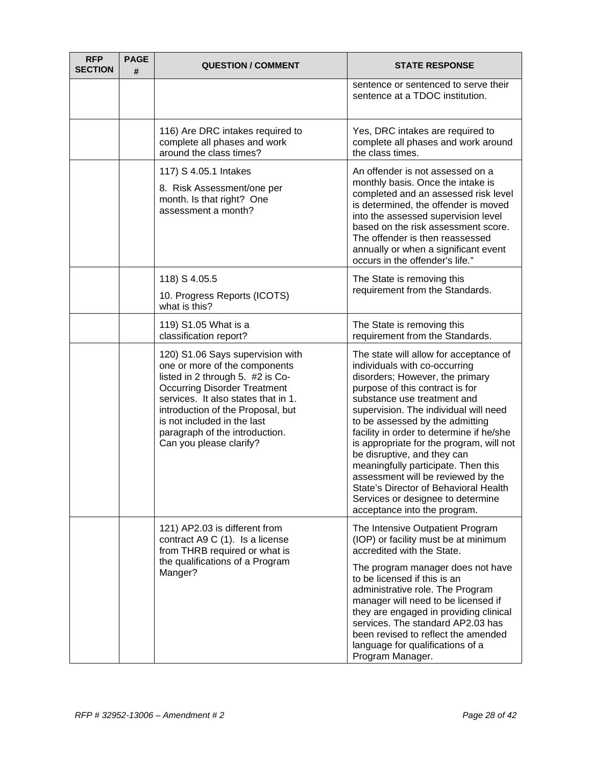| <b>RFP</b><br><b>SECTION</b> | <b>PAGE</b><br># | <b>QUESTION / COMMENT</b>                                                                                                                                                                                                                                                                                            | <b>STATE RESPONSE</b>                                                                                                                                                                                                                                                                                                                                                                                                                                                                                                                                                      |
|------------------------------|------------------|----------------------------------------------------------------------------------------------------------------------------------------------------------------------------------------------------------------------------------------------------------------------------------------------------------------------|----------------------------------------------------------------------------------------------------------------------------------------------------------------------------------------------------------------------------------------------------------------------------------------------------------------------------------------------------------------------------------------------------------------------------------------------------------------------------------------------------------------------------------------------------------------------------|
|                              |                  |                                                                                                                                                                                                                                                                                                                      | sentence or sentenced to serve their<br>sentence at a TDOC institution.                                                                                                                                                                                                                                                                                                                                                                                                                                                                                                    |
|                              |                  | 116) Are DRC intakes required to<br>complete all phases and work<br>around the class times?                                                                                                                                                                                                                          | Yes, DRC intakes are required to<br>complete all phases and work around<br>the class times.                                                                                                                                                                                                                                                                                                                                                                                                                                                                                |
|                              |                  | 117) S 4.05.1 Intakes<br>8. Risk Assessment/one per<br>month. Is that right? One<br>assessment a month?                                                                                                                                                                                                              | An offender is not assessed on a<br>monthly basis. Once the intake is<br>completed and an assessed risk level<br>is determined, the offender is moved<br>into the assessed supervision level<br>based on the risk assessment score.<br>The offender is then reassessed<br>annually or when a significant event<br>occurs in the offender's life."                                                                                                                                                                                                                          |
|                              |                  | 118) S 4.05.5<br>10. Progress Reports (ICOTS)<br>what is this?                                                                                                                                                                                                                                                       | The State is removing this<br>requirement from the Standards.                                                                                                                                                                                                                                                                                                                                                                                                                                                                                                              |
|                              |                  | 119) S1.05 What is a<br>classification report?                                                                                                                                                                                                                                                                       | The State is removing this<br>requirement from the Standards.                                                                                                                                                                                                                                                                                                                                                                                                                                                                                                              |
|                              |                  | 120) S1.06 Says supervision with<br>one or more of the components<br>listed in 2 through 5. #2 is Co-<br><b>Occurring Disorder Treatment</b><br>services. It also states that in 1.<br>introduction of the Proposal, but<br>is not included in the last<br>paragraph of the introduction.<br>Can you please clarify? | The state will allow for acceptance of<br>individuals with co-occurring<br>disorders; However, the primary<br>purpose of this contract is for<br>substance use treatment and<br>supervision. The individual will need<br>to be assessed by the admitting<br>facility in order to determine if he/she<br>is appropriate for the program, will not<br>be disruptive, and they can<br>meaningfully participate. Then this<br>assessment will be reviewed by the<br>State's Director of Behavioral Health<br>Services or designee to determine<br>acceptance into the program. |
|                              |                  | 121) AP2.03 is different from<br>contract A9 C (1). Is a license<br>from THRB required or what is<br>the qualifications of a Program<br>Manger?                                                                                                                                                                      | The Intensive Outpatient Program<br>(IOP) or facility must be at minimum<br>accredited with the State.<br>The program manager does not have<br>to be licensed if this is an<br>administrative role. The Program<br>manager will need to be licensed if<br>they are engaged in providing clinical<br>services. The standard AP2.03 has<br>been revised to reflect the amended<br>language for qualifications of a<br>Program Manager.                                                                                                                                       |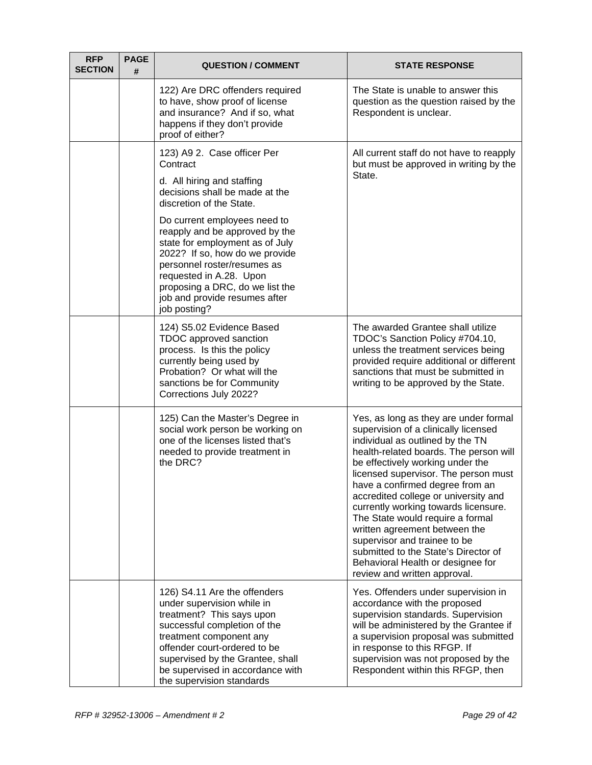| <b>RFP</b><br><b>SECTION</b> | <b>PAGE</b><br># | <b>QUESTION / COMMENT</b>                                                                                                                                                                                                                                                                                                                                                                                                | <b>STATE RESPONSE</b>                                                                                                                                                                                                                                                                                                                                                                                                                                                                                                                                                        |
|------------------------------|------------------|--------------------------------------------------------------------------------------------------------------------------------------------------------------------------------------------------------------------------------------------------------------------------------------------------------------------------------------------------------------------------------------------------------------------------|------------------------------------------------------------------------------------------------------------------------------------------------------------------------------------------------------------------------------------------------------------------------------------------------------------------------------------------------------------------------------------------------------------------------------------------------------------------------------------------------------------------------------------------------------------------------------|
|                              |                  | 122) Are DRC offenders required<br>to have, show proof of license<br>and insurance? And if so, what<br>happens if they don't provide<br>proof of either?                                                                                                                                                                                                                                                                 | The State is unable to answer this<br>question as the question raised by the<br>Respondent is unclear.                                                                                                                                                                                                                                                                                                                                                                                                                                                                       |
|                              |                  | 123) A9 2. Case officer Per<br>Contract<br>d. All hiring and staffing<br>decisions shall be made at the<br>discretion of the State.<br>Do current employees need to<br>reapply and be approved by the<br>state for employment as of July<br>2022? If so, how do we provide<br>personnel roster/resumes as<br>requested in A.28. Upon<br>proposing a DRC, do we list the<br>job and provide resumes after<br>job posting? | All current staff do not have to reapply<br>but must be approved in writing by the<br>State.                                                                                                                                                                                                                                                                                                                                                                                                                                                                                 |
|                              |                  | 124) S5.02 Evidence Based<br>TDOC approved sanction<br>process. Is this the policy<br>currently being used by<br>Probation? Or what will the<br>sanctions be for Community<br>Corrections July 2022?                                                                                                                                                                                                                     | The awarded Grantee shall utilize<br>TDOC's Sanction Policy #704.10,<br>unless the treatment services being<br>provided require additional or different<br>sanctions that must be submitted in<br>writing to be approved by the State.                                                                                                                                                                                                                                                                                                                                       |
|                              |                  | 125) Can the Master's Degree in<br>social work person be working on<br>one of the licenses listed that's<br>needed to provide treatment in<br>the DRC?                                                                                                                                                                                                                                                                   | Yes, as long as they are under formal<br>supervision of a clinically licensed<br>individual as outlined by the TN<br>health-related boards. The person will<br>be effectively working under the<br>licensed supervisor. The person must<br>have a confirmed degree from an<br>accredited college or university and<br>currently working towards licensure.<br>The State would require a formal<br>written agreement between the<br>supervisor and trainee to be<br>submitted to the State's Director of<br>Behavioral Health or designee for<br>review and written approval. |
|                              |                  | 126) S4.11 Are the offenders<br>under supervision while in<br>treatment? This says upon<br>successful completion of the<br>treatment component any<br>offender court-ordered to be<br>supervised by the Grantee, shall<br>be supervised in accordance with<br>the supervision standards                                                                                                                                  | Yes. Offenders under supervision in<br>accordance with the proposed<br>supervision standards. Supervision<br>will be administered by the Grantee if<br>a supervision proposal was submitted<br>in response to this RFGP. If<br>supervision was not proposed by the<br>Respondent within this RFGP, then                                                                                                                                                                                                                                                                      |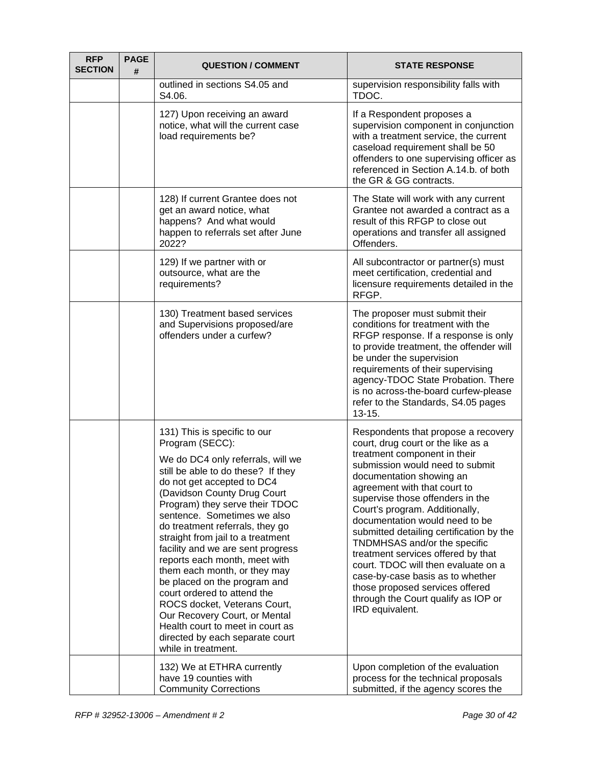| <b>RFP</b><br><b>SECTION</b> | <b>PAGE</b><br># | <b>QUESTION / COMMENT</b>                                                                                                                                                                                                                                                                                                                                                                                                                                                                                                                                                                                                                                            | <b>STATE RESPONSE</b>                                                                                                                                                                                                                                                                                                                                                                                                                                                                                                                                                                                      |
|------------------------------|------------------|----------------------------------------------------------------------------------------------------------------------------------------------------------------------------------------------------------------------------------------------------------------------------------------------------------------------------------------------------------------------------------------------------------------------------------------------------------------------------------------------------------------------------------------------------------------------------------------------------------------------------------------------------------------------|------------------------------------------------------------------------------------------------------------------------------------------------------------------------------------------------------------------------------------------------------------------------------------------------------------------------------------------------------------------------------------------------------------------------------------------------------------------------------------------------------------------------------------------------------------------------------------------------------------|
|                              |                  | outlined in sections S4.05 and<br>S4.06.                                                                                                                                                                                                                                                                                                                                                                                                                                                                                                                                                                                                                             | supervision responsibility falls with<br>TDOC.                                                                                                                                                                                                                                                                                                                                                                                                                                                                                                                                                             |
|                              |                  | 127) Upon receiving an award<br>notice, what will the current case<br>load requirements be?                                                                                                                                                                                                                                                                                                                                                                                                                                                                                                                                                                          | If a Respondent proposes a<br>supervision component in conjunction<br>with a treatment service, the current<br>caseload requirement shall be 50<br>offenders to one supervising officer as<br>referenced in Section A.14.b. of both<br>the GR & GG contracts.                                                                                                                                                                                                                                                                                                                                              |
|                              |                  | 128) If current Grantee does not<br>get an award notice, what<br>happens? And what would<br>happen to referrals set after June<br>2022?                                                                                                                                                                                                                                                                                                                                                                                                                                                                                                                              | The State will work with any current<br>Grantee not awarded a contract as a<br>result of this RFGP to close out<br>operations and transfer all assigned<br>Offenders.                                                                                                                                                                                                                                                                                                                                                                                                                                      |
|                              |                  | 129) If we partner with or<br>outsource, what are the<br>requirements?                                                                                                                                                                                                                                                                                                                                                                                                                                                                                                                                                                                               | All subcontractor or partner(s) must<br>meet certification, credential and<br>licensure requirements detailed in the<br>RFGP.                                                                                                                                                                                                                                                                                                                                                                                                                                                                              |
|                              |                  | 130) Treatment based services<br>and Supervisions proposed/are<br>offenders under a curfew?                                                                                                                                                                                                                                                                                                                                                                                                                                                                                                                                                                          | The proposer must submit their<br>conditions for treatment with the<br>RFGP response. If a response is only<br>to provide treatment, the offender will<br>be under the supervision<br>requirements of their supervising<br>agency-TDOC State Probation. There<br>is no across-the-board curfew-please<br>refer to the Standards, S4.05 pages<br>$13 - 15.$                                                                                                                                                                                                                                                 |
|                              |                  | 131) This is specific to our<br>Program (SECC):<br>We do DC4 only referrals, will we<br>still be able to do these? If they<br>do not get accepted to DC4<br>(Davidson County Drug Court<br>Program) they serve their TDOC<br>sentence. Sometimes we also<br>do treatment referrals, they go<br>straight from jail to a treatment<br>facility and we are sent progress<br>reports each month, meet with<br>them each month, or they may<br>be placed on the program and<br>court ordered to attend the<br>ROCS docket, Veterans Court,<br>Our Recovery Court, or Mental<br>Health court to meet in court as<br>directed by each separate court<br>while in treatment. | Respondents that propose a recovery<br>court, drug court or the like as a<br>treatment component in their<br>submission would need to submit<br>documentation showing an<br>agreement with that court to<br>supervise those offenders in the<br>Court's program. Additionally,<br>documentation would need to be<br>submitted detailing certification by the<br>TNDMHSAS and/or the specific<br>treatment services offered by that<br>court. TDOC will then evaluate on a<br>case-by-case basis as to whether<br>those proposed services offered<br>through the Court qualify as IOP or<br>IRD equivalent. |
|                              |                  | 132) We at ETHRA currently<br>have 19 counties with<br><b>Community Corrections</b>                                                                                                                                                                                                                                                                                                                                                                                                                                                                                                                                                                                  | Upon completion of the evaluation<br>process for the technical proposals<br>submitted, if the agency scores the                                                                                                                                                                                                                                                                                                                                                                                                                                                                                            |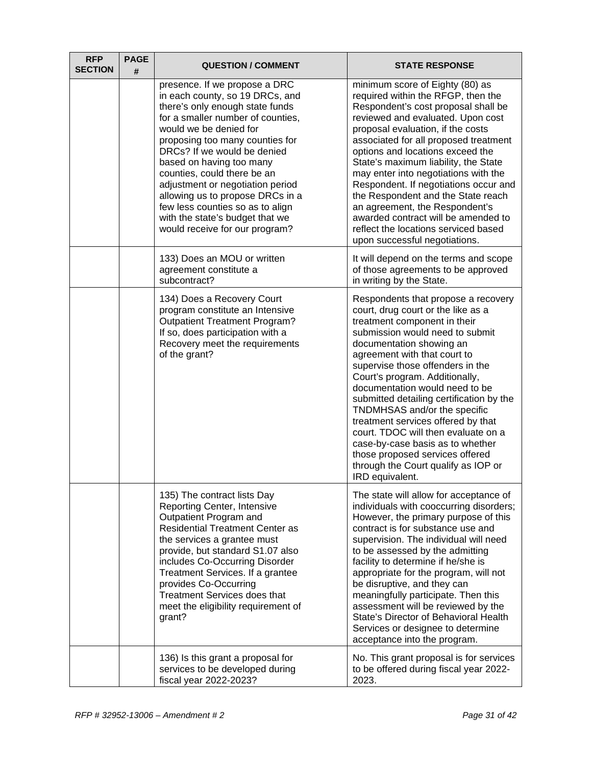| <b>RFP</b><br><b>SECTION</b> | <b>PAGE</b><br># | <b>QUESTION / COMMENT</b>                                                                                                                                                                                                                                                                                                                                                                                                                                                        | <b>STATE RESPONSE</b>                                                                                                                                                                                                                                                                                                                                                                                                                                                                                                                                                                                      |
|------------------------------|------------------|----------------------------------------------------------------------------------------------------------------------------------------------------------------------------------------------------------------------------------------------------------------------------------------------------------------------------------------------------------------------------------------------------------------------------------------------------------------------------------|------------------------------------------------------------------------------------------------------------------------------------------------------------------------------------------------------------------------------------------------------------------------------------------------------------------------------------------------------------------------------------------------------------------------------------------------------------------------------------------------------------------------------------------------------------------------------------------------------------|
|                              |                  | presence. If we propose a DRC<br>in each county, so 19 DRCs, and<br>there's only enough state funds<br>for a smaller number of counties,<br>would we be denied for<br>proposing too many counties for<br>DRCs? If we would be denied<br>based on having too many<br>counties, could there be an<br>adjustment or negotiation period<br>allowing us to propose DRCs in a<br>few less counties so as to align<br>with the state's budget that we<br>would receive for our program? | minimum score of Eighty (80) as<br>required within the RFGP, then the<br>Respondent's cost proposal shall be<br>reviewed and evaluated. Upon cost<br>proposal evaluation, if the costs<br>associated for all proposed treatment<br>options and locations exceed the<br>State's maximum liability, the State<br>may enter into negotiations with the<br>Respondent. If negotiations occur and<br>the Respondent and the State reach<br>an agreement, the Respondent's<br>awarded contract will be amended to<br>reflect the locations serviced based<br>upon successful negotiations.                       |
|                              |                  | 133) Does an MOU or written<br>agreement constitute a<br>subcontract?                                                                                                                                                                                                                                                                                                                                                                                                            | It will depend on the terms and scope<br>of those agreements to be approved<br>in writing by the State.                                                                                                                                                                                                                                                                                                                                                                                                                                                                                                    |
|                              |                  | 134) Does a Recovery Court<br>program constitute an Intensive<br><b>Outpatient Treatment Program?</b><br>If so, does participation with a<br>Recovery meet the requirements<br>of the grant?                                                                                                                                                                                                                                                                                     | Respondents that propose a recovery<br>court, drug court or the like as a<br>treatment component in their<br>submission would need to submit<br>documentation showing an<br>agreement with that court to<br>supervise those offenders in the<br>Court's program. Additionally,<br>documentation would need to be<br>submitted detailing certification by the<br>TNDMHSAS and/or the specific<br>treatment services offered by that<br>court. TDOC will then evaluate on a<br>case-by-case basis as to whether<br>those proposed services offered<br>through the Court qualify as IOP or<br>IRD equivalent. |
|                              |                  | 135) The contract lists Day<br>Reporting Center, Intensive<br>Outpatient Program and<br><b>Residential Treatment Center as</b><br>the services a grantee must<br>provide, but standard S1.07 also<br>includes Co-Occurring Disorder<br>Treatment Services. If a grantee<br>provides Co-Occurring<br>Treatment Services does that<br>meet the eligibility requirement of<br>grant?                                                                                                | The state will allow for acceptance of<br>individuals with cooccurring disorders;<br>However, the primary purpose of this<br>contract is for substance use and<br>supervision. The individual will need<br>to be assessed by the admitting<br>facility to determine if he/she is<br>appropriate for the program, will not<br>be disruptive, and they can<br>meaningfully participate. Then this<br>assessment will be reviewed by the<br>State's Director of Behavioral Health<br>Services or designee to determine<br>acceptance into the program.                                                        |
|                              |                  | 136) Is this grant a proposal for<br>services to be developed during<br>fiscal year 2022-2023?                                                                                                                                                                                                                                                                                                                                                                                   | No. This grant proposal is for services<br>to be offered during fiscal year 2022-<br>2023.                                                                                                                                                                                                                                                                                                                                                                                                                                                                                                                 |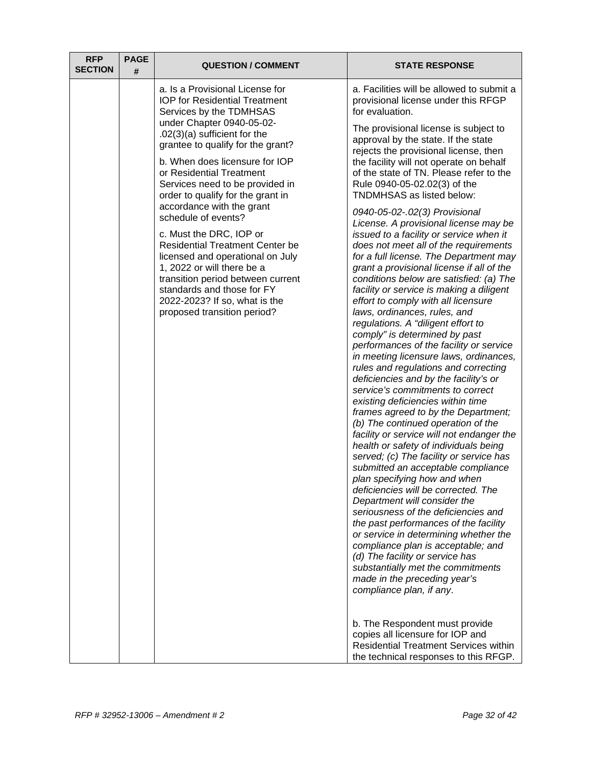| <b>RFP</b><br><b>SECTION</b> | <b>PAGE</b><br># | <b>QUESTION / COMMENT</b>                                                                                                                                                                                                                                                                                                                                                 | <b>STATE RESPONSE</b>                                                                                                                                                                                                                                                                                                                                                                                                                                                                                                                                                                                                                                                                                                                                                                                                                                                                                                                                                                                                                                                                                                                                                                                                                                                                                                                                                                                                                                                     |
|------------------------------|------------------|---------------------------------------------------------------------------------------------------------------------------------------------------------------------------------------------------------------------------------------------------------------------------------------------------------------------------------------------------------------------------|---------------------------------------------------------------------------------------------------------------------------------------------------------------------------------------------------------------------------------------------------------------------------------------------------------------------------------------------------------------------------------------------------------------------------------------------------------------------------------------------------------------------------------------------------------------------------------------------------------------------------------------------------------------------------------------------------------------------------------------------------------------------------------------------------------------------------------------------------------------------------------------------------------------------------------------------------------------------------------------------------------------------------------------------------------------------------------------------------------------------------------------------------------------------------------------------------------------------------------------------------------------------------------------------------------------------------------------------------------------------------------------------------------------------------------------------------------------------------|
|                              |                  | a. Is a Provisional License for<br><b>IOP</b> for Residential Treatment<br>Services by the TDMHSAS<br>under Chapter 0940-05-02-<br>$.02(3)(a)$ sufficient for the<br>grantee to qualify for the grant?<br>b. When does licensure for IOP<br>or Residential Treatment<br>Services need to be provided in<br>order to qualify for the grant in<br>accordance with the grant | a. Facilities will be allowed to submit a<br>provisional license under this RFGP<br>for evaluation.<br>The provisional license is subject to<br>approval by the state. If the state<br>rejects the provisional license, then<br>the facility will not operate on behalf<br>of the state of TN. Please refer to the<br>Rule 0940-05-02.02(3) of the<br>TNDMHSAS as listed below:                                                                                                                                                                                                                                                                                                                                                                                                                                                                                                                                                                                                                                                                                                                                                                                                                                                                                                                                                                                                                                                                                           |
|                              |                  | schedule of events?<br>c. Must the DRC, IOP or<br><b>Residential Treatment Center be</b><br>licensed and operational on July<br>1, 2022 or will there be a<br>transition period between current<br>standards and those for FY<br>2022-2023? If so, what is the<br>proposed transition period?                                                                             | 0940-05-02-.02(3) Provisional<br>License. A provisional license may be<br>issued to a facility or service when it<br>does not meet all of the requirements<br>for a full license. The Department may<br>grant a provisional license if all of the<br>conditions below are satisfied: (a) The<br>facility or service is making a diligent<br>effort to comply with all licensure<br>laws, ordinances, rules, and<br>regulations. A "diligent effort to<br>comply" is determined by past<br>performances of the facility or service<br>in meeting licensure laws, ordinances,<br>rules and regulations and correcting<br>deficiencies and by the facility's or<br>service's commitments to correct<br>existing deficiencies within time<br>frames agreed to by the Department;<br>(b) The continued operation of the<br>facility or service will not endanger the<br>health or safety of individuals being<br>served; (c) The facility or service has<br>submitted an acceptable compliance<br>plan specifying how and when<br>deficiencies will be corrected. The<br>Department will consider the<br>seriousness of the deficiencies and<br>the past performances of the facility<br>or service in determining whether the<br>compliance plan is acceptable; and<br>(d) The facility or service has<br>substantially met the commitments<br>made in the preceding year's<br>compliance plan, if any.<br>b. The Respondent must provide<br>copies all licensure for IOP and |
|                              |                  |                                                                                                                                                                                                                                                                                                                                                                           | <b>Residential Treatment Services within</b><br>the technical responses to this RFGP.                                                                                                                                                                                                                                                                                                                                                                                                                                                                                                                                                                                                                                                                                                                                                                                                                                                                                                                                                                                                                                                                                                                                                                                                                                                                                                                                                                                     |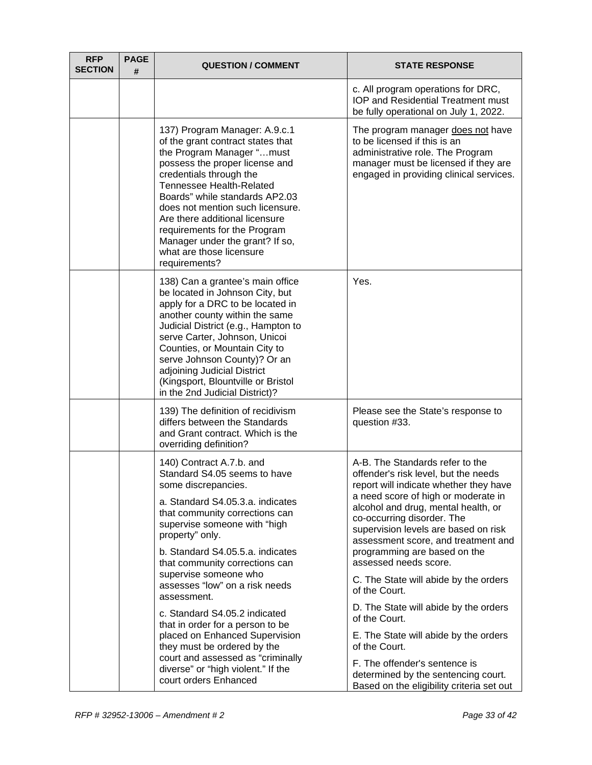| <b>RFP</b><br><b>SECTION</b> | <b>PAGE</b><br># | <b>QUESTION / COMMENT</b>                                                                                                                                                                                                                                                                                                                                                                                                                                                                                                                                                                          | <b>STATE RESPONSE</b>                                                                                                                                                                                                                                                                                                                                                                                                                                                                                                                                                                                                                                                    |
|------------------------------|------------------|----------------------------------------------------------------------------------------------------------------------------------------------------------------------------------------------------------------------------------------------------------------------------------------------------------------------------------------------------------------------------------------------------------------------------------------------------------------------------------------------------------------------------------------------------------------------------------------------------|--------------------------------------------------------------------------------------------------------------------------------------------------------------------------------------------------------------------------------------------------------------------------------------------------------------------------------------------------------------------------------------------------------------------------------------------------------------------------------------------------------------------------------------------------------------------------------------------------------------------------------------------------------------------------|
|                              |                  |                                                                                                                                                                                                                                                                                                                                                                                                                                                                                                                                                                                                    | c. All program operations for DRC,<br><b>IOP and Residential Treatment must</b><br>be fully operational on July 1, 2022.                                                                                                                                                                                                                                                                                                                                                                                                                                                                                                                                                 |
|                              |                  | 137) Program Manager: A.9.c.1<br>of the grant contract states that<br>the Program Manager "must<br>possess the proper license and<br>credentials through the<br><b>Tennessee Health-Related</b><br>Boards" while standards AP2.03<br>does not mention such licensure.<br>Are there additional licensure<br>requirements for the Program<br>Manager under the grant? If so,<br>what are those licensure<br>requirements?                                                                                                                                                                            | The program manager does not have<br>to be licensed if this is an<br>administrative role. The Program<br>manager must be licensed if they are<br>engaged in providing clinical services.                                                                                                                                                                                                                                                                                                                                                                                                                                                                                 |
|                              |                  | 138) Can a grantee's main office<br>be located in Johnson City, but<br>apply for a DRC to be located in<br>another county within the same<br>Judicial District (e.g., Hampton to<br>serve Carter, Johnson, Unicoi<br>Counties, or Mountain City to<br>serve Johnson County)? Or an<br>adjoining Judicial District<br>(Kingsport, Blountville or Bristol<br>in the 2nd Judicial District)?                                                                                                                                                                                                          | Yes.                                                                                                                                                                                                                                                                                                                                                                                                                                                                                                                                                                                                                                                                     |
|                              |                  | 139) The definition of recidivism<br>differs between the Standards<br>and Grant contract. Which is the<br>overriding definition?                                                                                                                                                                                                                                                                                                                                                                                                                                                                   | Please see the State's response to<br>question #33.                                                                                                                                                                                                                                                                                                                                                                                                                                                                                                                                                                                                                      |
|                              |                  | 140) Contract A.7.b. and<br>Standard S4.05 seems to have<br>some discrepancies.<br>a. Standard S4.05.3.a. indicates<br>that community corrections can<br>supervise someone with "high<br>property" only.<br>b. Standard S4.05.5.a. indicates<br>that community corrections can<br>supervise someone who<br>assesses "low" on a risk needs<br>assessment.<br>c. Standard S4.05.2 indicated<br>that in order for a person to be<br>placed on Enhanced Supervision<br>they must be ordered by the<br>court and assessed as "criminally<br>diverse" or "high violent." If the<br>court orders Enhanced | A-B. The Standards refer to the<br>offender's risk level, but the needs<br>report will indicate whether they have<br>a need score of high or moderate in<br>alcohol and drug, mental health, or<br>co-occurring disorder. The<br>supervision levels are based on risk<br>assessment score, and treatment and<br>programming are based on the<br>assessed needs score.<br>C. The State will abide by the orders<br>of the Court.<br>D. The State will abide by the orders<br>of the Court.<br>E. The State will abide by the orders<br>of the Court.<br>F. The offender's sentence is<br>determined by the sentencing court.<br>Based on the eligibility criteria set out |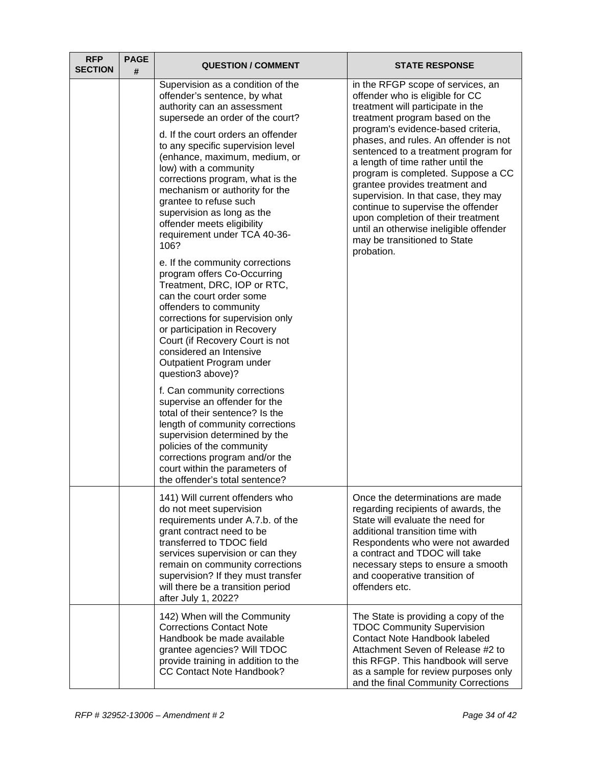| <b>RFP</b><br><b>SECTION</b> | <b>PAGE</b><br># | <b>QUESTION / COMMENT</b>                                                                                                                                                                                                                                                                                                                                                                                                                                                                                                                                                                                                                                                                                                                                                                                                                                                                                                                                                                                                                                      | <b>STATE RESPONSE</b>                                                                                                                                                                                                                                                                                                                                                                                                                                                                                                                                                                      |
|------------------------------|------------------|----------------------------------------------------------------------------------------------------------------------------------------------------------------------------------------------------------------------------------------------------------------------------------------------------------------------------------------------------------------------------------------------------------------------------------------------------------------------------------------------------------------------------------------------------------------------------------------------------------------------------------------------------------------------------------------------------------------------------------------------------------------------------------------------------------------------------------------------------------------------------------------------------------------------------------------------------------------------------------------------------------------------------------------------------------------|--------------------------------------------------------------------------------------------------------------------------------------------------------------------------------------------------------------------------------------------------------------------------------------------------------------------------------------------------------------------------------------------------------------------------------------------------------------------------------------------------------------------------------------------------------------------------------------------|
|                              |                  | Supervision as a condition of the<br>offender's sentence, by what<br>authority can an assessment<br>supersede an order of the court?<br>d. If the court orders an offender<br>to any specific supervision level<br>(enhance, maximum, medium, or<br>low) with a community<br>corrections program, what is the<br>mechanism or authority for the<br>grantee to refuse such<br>supervision as long as the<br>offender meets eligibility<br>requirement under TCA 40-36-<br>106?<br>e. If the community corrections<br>program offers Co-Occurring<br>Treatment, DRC, IOP or RTC,<br>can the court order some<br>offenders to community<br>corrections for supervision only<br>or participation in Recovery<br>Court (if Recovery Court is not<br>considered an Intensive<br>Outpatient Program under<br>question3 above)?<br>f. Can community corrections<br>supervise an offender for the<br>total of their sentence? Is the<br>length of community corrections<br>supervision determined by the<br>policies of the community<br>corrections program and/or the | in the RFGP scope of services, an<br>offender who is eligible for CC<br>treatment will participate in the<br>treatment program based on the<br>program's evidence-based criteria,<br>phases, and rules. An offender is not<br>sentenced to a treatment program for<br>a length of time rather until the<br>program is completed. Suppose a CC<br>grantee provides treatment and<br>supervision. In that case, they may<br>continue to supervise the offender<br>upon completion of their treatment<br>until an otherwise ineligible offender<br>may be transitioned to State<br>probation. |
|                              |                  | court within the parameters of<br>the offender's total sentence?                                                                                                                                                                                                                                                                                                                                                                                                                                                                                                                                                                                                                                                                                                                                                                                                                                                                                                                                                                                               |                                                                                                                                                                                                                                                                                                                                                                                                                                                                                                                                                                                            |
|                              |                  | 141) Will current offenders who<br>do not meet supervision<br>requirements under A.7.b. of the<br>grant contract need to be<br>transferred to TDOC field<br>services supervision or can they<br>remain on community corrections<br>supervision? If they must transfer<br>will there be a transition period<br>after July 1, 2022?                                                                                                                                                                                                                                                                                                                                                                                                                                                                                                                                                                                                                                                                                                                              | Once the determinations are made<br>regarding recipients of awards, the<br>State will evaluate the need for<br>additional transition time with<br>Respondents who were not awarded<br>a contract and TDOC will take<br>necessary steps to ensure a smooth<br>and cooperative transition of<br>offenders etc.                                                                                                                                                                                                                                                                               |
|                              |                  | 142) When will the Community<br><b>Corrections Contact Note</b><br>Handbook be made available<br>grantee agencies? Will TDOC<br>provide training in addition to the<br><b>CC Contact Note Handbook?</b>                                                                                                                                                                                                                                                                                                                                                                                                                                                                                                                                                                                                                                                                                                                                                                                                                                                        | The State is providing a copy of the<br><b>TDOC Community Supervision</b><br>Contact Note Handbook labeled<br>Attachment Seven of Release #2 to<br>this RFGP. This handbook will serve<br>as a sample for review purposes only<br>and the final Community Corrections                                                                                                                                                                                                                                                                                                                      |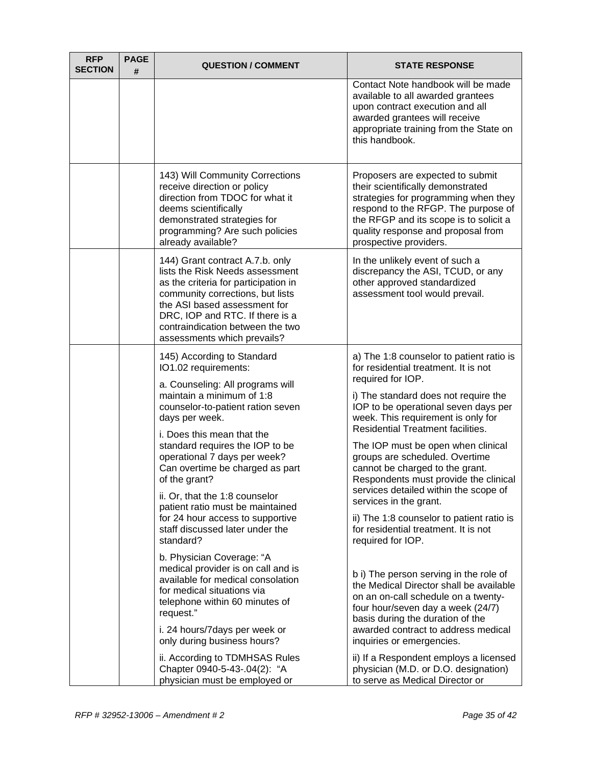| <b>RFP</b><br><b>SECTION</b> | <b>PAGE</b><br># | <b>QUESTION / COMMENT</b>                                                                                                                                                                                                                                                                                                                                                                                                                                                                                                                                                                                                                                                                                                                                                         | <b>STATE RESPONSE</b>                                                                                                                                                                                                                                                                                                                                                                                                                                                                                                                                                                                                                                                                                                                                                                                                                                                                                                |
|------------------------------|------------------|-----------------------------------------------------------------------------------------------------------------------------------------------------------------------------------------------------------------------------------------------------------------------------------------------------------------------------------------------------------------------------------------------------------------------------------------------------------------------------------------------------------------------------------------------------------------------------------------------------------------------------------------------------------------------------------------------------------------------------------------------------------------------------------|----------------------------------------------------------------------------------------------------------------------------------------------------------------------------------------------------------------------------------------------------------------------------------------------------------------------------------------------------------------------------------------------------------------------------------------------------------------------------------------------------------------------------------------------------------------------------------------------------------------------------------------------------------------------------------------------------------------------------------------------------------------------------------------------------------------------------------------------------------------------------------------------------------------------|
|                              |                  |                                                                                                                                                                                                                                                                                                                                                                                                                                                                                                                                                                                                                                                                                                                                                                                   | Contact Note handbook will be made<br>available to all awarded grantees<br>upon contract execution and all<br>awarded grantees will receive<br>appropriate training from the State on<br>this handbook.                                                                                                                                                                                                                                                                                                                                                                                                                                                                                                                                                                                                                                                                                                              |
|                              |                  | 143) Will Community Corrections<br>receive direction or policy<br>direction from TDOC for what it<br>deems scientifically<br>demonstrated strategies for<br>programming? Are such policies<br>already available?                                                                                                                                                                                                                                                                                                                                                                                                                                                                                                                                                                  | Proposers are expected to submit<br>their scientifically demonstrated<br>strategies for programming when they<br>respond to the RFGP. The purpose of<br>the RFGP and its scope is to solicit a<br>quality response and proposal from<br>prospective providers.                                                                                                                                                                                                                                                                                                                                                                                                                                                                                                                                                                                                                                                       |
|                              |                  | 144) Grant contract A.7.b. only<br>lists the Risk Needs assessment<br>as the criteria for participation in<br>community corrections, but lists<br>the ASI based assessment for<br>DRC, IOP and RTC. If there is a<br>contraindication between the two<br>assessments which prevails?                                                                                                                                                                                                                                                                                                                                                                                                                                                                                              | In the unlikely event of such a<br>discrepancy the ASI, TCUD, or any<br>other approved standardized<br>assessment tool would prevail.                                                                                                                                                                                                                                                                                                                                                                                                                                                                                                                                                                                                                                                                                                                                                                                |
|                              |                  | 145) According to Standard<br>IO1.02 requirements:<br>a. Counseling: All programs will<br>maintain a minimum of 1:8<br>counselor-to-patient ration seven<br>days per week.<br>i. Does this mean that the<br>standard requires the IOP to be<br>operational 7 days per week?<br>Can overtime be charged as part<br>of the grant?<br>ii. Or, that the 1:8 counselor<br>patient ratio must be maintained<br>for 24 hour access to supportive<br>staff discussed later under the<br>standard?<br>b. Physician Coverage: "A<br>medical provider is on call and is<br>available for medical consolation<br>for medical situations via<br>telephone within 60 minutes of<br>request."<br>i. 24 hours/7 days per week or<br>only during business hours?<br>ii. According to TDMHSAS Rules | a) The 1:8 counselor to patient ratio is<br>for residential treatment. It is not<br>required for IOP.<br>i) The standard does not require the<br>IOP to be operational seven days per<br>week. This requirement is only for<br>Residential Treatment facilities.<br>The IOP must be open when clinical<br>groups are scheduled. Overtime<br>cannot be charged to the grant.<br>Respondents must provide the clinical<br>services detailed within the scope of<br>services in the grant.<br>ii) The 1:8 counselor to patient ratio is<br>for residential treatment. It is not<br>required for IOP.<br>b i) The person serving in the role of<br>the Medical Director shall be available<br>on an on-call schedule on a twenty-<br>four hour/seven day a week (24/7)<br>basis during the duration of the<br>awarded contract to address medical<br>inquiries or emergencies.<br>ii) If a Respondent employs a licensed |
|                              |                  | Chapter 0940-5-43-.04(2): "A<br>physician must be employed or                                                                                                                                                                                                                                                                                                                                                                                                                                                                                                                                                                                                                                                                                                                     | physician (M.D. or D.O. designation)<br>to serve as Medical Director or                                                                                                                                                                                                                                                                                                                                                                                                                                                                                                                                                                                                                                                                                                                                                                                                                                              |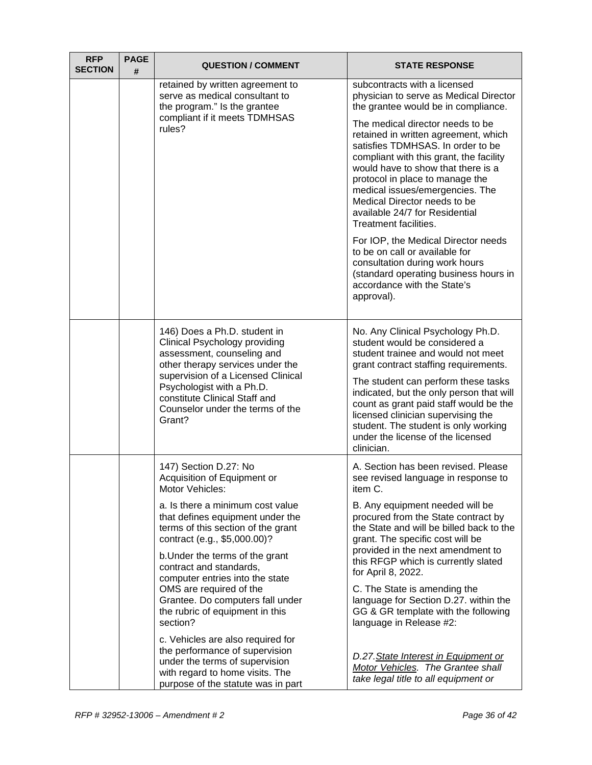| <b>RFP</b><br><b>SECTION</b> | <b>PAGE</b><br>#                                                                                                                                                                                                                                                                  | <b>QUESTION / COMMENT</b>                                                                                                                                                                                                                                  | <b>STATE RESPONSE</b>                                                                                                                                                                                                                                                                                                                                           |
|------------------------------|-----------------------------------------------------------------------------------------------------------------------------------------------------------------------------------------------------------------------------------------------------------------------------------|------------------------------------------------------------------------------------------------------------------------------------------------------------------------------------------------------------------------------------------------------------|-----------------------------------------------------------------------------------------------------------------------------------------------------------------------------------------------------------------------------------------------------------------------------------------------------------------------------------------------------------------|
|                              |                                                                                                                                                                                                                                                                                   | retained by written agreement to<br>serve as medical consultant to<br>the program." Is the grantee                                                                                                                                                         | subcontracts with a licensed<br>physician to serve as Medical Director<br>the grantee would be in compliance.                                                                                                                                                                                                                                                   |
|                              |                                                                                                                                                                                                                                                                                   | compliant if it meets TDMHSAS<br>rules?                                                                                                                                                                                                                    | The medical director needs to be<br>retained in written agreement, which<br>satisfies TDMHSAS. In order to be<br>compliant with this grant, the facility<br>would have to show that there is a<br>protocol in place to manage the<br>medical issues/emergencies. The<br>Medical Director needs to be<br>available 24/7 for Residential<br>Treatment facilities. |
|                              |                                                                                                                                                                                                                                                                                   |                                                                                                                                                                                                                                                            | For IOP, the Medical Director needs<br>to be on call or available for<br>consultation during work hours<br>(standard operating business hours in<br>accordance with the State's<br>approval).                                                                                                                                                                   |
|                              | 146) Does a Ph.D. student in<br>Clinical Psychology providing<br>assessment, counseling and<br>other therapy services under the<br>supervision of a Licensed Clinical<br>Psychologist with a Ph.D.<br>constitute Clinical Staff and<br>Counselor under the terms of the<br>Grant? |                                                                                                                                                                                                                                                            | No. Any Clinical Psychology Ph.D.<br>student would be considered a<br>student trainee and would not meet<br>grant contract staffing requirements.                                                                                                                                                                                                               |
|                              |                                                                                                                                                                                                                                                                                   | The student can perform these tasks<br>indicated, but the only person that will<br>count as grant paid staff would be the<br>licensed clinician supervising the<br>student. The student is only working<br>under the license of the licensed<br>clinician. |                                                                                                                                                                                                                                                                                                                                                                 |
|                              |                                                                                                                                                                                                                                                                                   | 147) Section D.27: No<br>Acquisition of Equipment or<br>Motor Vehicles:                                                                                                                                                                                    | A. Section has been revised. Please<br>see revised language in response to<br>item C.                                                                                                                                                                                                                                                                           |
|                              | a. Is there a minimum cost value<br>that defines equipment under the<br>terms of this section of the grant<br>contract (e.g., \$5,000.00)?                                                                                                                                        |                                                                                                                                                                                                                                                            | B. Any equipment needed will be<br>procured from the State contract by<br>the State and will be billed back to the<br>grant. The specific cost will be                                                                                                                                                                                                          |
|                              | b. Under the terms of the grant<br>contract and standards,<br>computer entries into the state                                                                                                                                                                                     | provided in the next amendment to<br>this RFGP which is currently slated<br>for April 8, 2022.                                                                                                                                                             |                                                                                                                                                                                                                                                                                                                                                                 |
|                              |                                                                                                                                                                                                                                                                                   | OMS are required of the<br>Grantee. Do computers fall under<br>the rubric of equipment in this<br>section?                                                                                                                                                 | C. The State is amending the<br>language for Section D.27. within the<br>GG & GR template with the following<br>language in Release #2:                                                                                                                                                                                                                         |
|                              |                                                                                                                                                                                                                                                                                   | c. Vehicles are also required for<br>the performance of supervision<br>under the terms of supervision<br>with regard to home visits. The<br>purpose of the statute was in part                                                                             | D.27. State Interest in Equipment or<br>Motor Vehicles. The Grantee shall<br>take legal title to all equipment or                                                                                                                                                                                                                                               |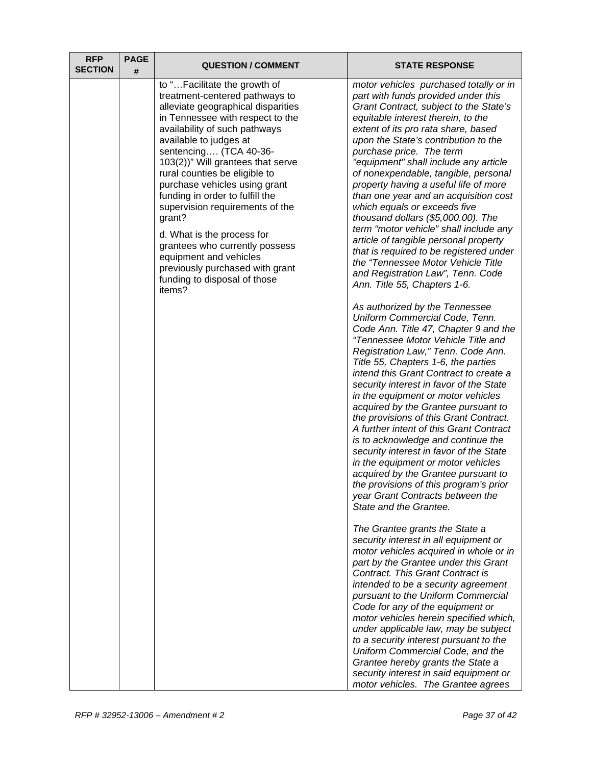| <b>RFP</b><br><b>SECTION</b> | <b>PAGE</b><br># | <b>QUESTION / COMMENT</b>                                                                                                                                                                                                                                                                                                                                                                                                                                                                                                                                                                   | <b>STATE RESPONSE</b>                                                                                                                                                                                                                                                                                                                                                                                                                                                                                                                                                                                                                                                                                                                                                                                                                                                                                                                                                                                                                                                                                                                                                                                                                                                                                                                                                                                                                                                                                                                                                                                                                                                                                                                                                                                                                                                                                                                                                                                                                                                                                                          |
|------------------------------|------------------|---------------------------------------------------------------------------------------------------------------------------------------------------------------------------------------------------------------------------------------------------------------------------------------------------------------------------------------------------------------------------------------------------------------------------------------------------------------------------------------------------------------------------------------------------------------------------------------------|--------------------------------------------------------------------------------------------------------------------------------------------------------------------------------------------------------------------------------------------------------------------------------------------------------------------------------------------------------------------------------------------------------------------------------------------------------------------------------------------------------------------------------------------------------------------------------------------------------------------------------------------------------------------------------------------------------------------------------------------------------------------------------------------------------------------------------------------------------------------------------------------------------------------------------------------------------------------------------------------------------------------------------------------------------------------------------------------------------------------------------------------------------------------------------------------------------------------------------------------------------------------------------------------------------------------------------------------------------------------------------------------------------------------------------------------------------------------------------------------------------------------------------------------------------------------------------------------------------------------------------------------------------------------------------------------------------------------------------------------------------------------------------------------------------------------------------------------------------------------------------------------------------------------------------------------------------------------------------------------------------------------------------------------------------------------------------------------------------------------------------|
|                              |                  | to "Facilitate the growth of<br>treatment-centered pathways to<br>alleviate geographical disparities<br>in Tennessee with respect to the<br>availability of such pathways<br>available to judges at<br>sentencing (TCA 40-36-<br>103(2))" Will grantees that serve<br>rural counties be eligible to<br>purchase vehicles using grant<br>funding in order to fulfill the<br>supervision requirements of the<br>grant?<br>d. What is the process for<br>grantees who currently possess<br>equipment and vehicles<br>previously purchased with grant<br>funding to disposal of those<br>items? | motor vehicles purchased totally or in<br>part with funds provided under this<br>Grant Contract, subject to the State's<br>equitable interest therein, to the<br>extent of its pro rata share, based<br>upon the State's contribution to the<br>purchase price. The term<br>"equipment" shall include any article<br>of nonexpendable, tangible, personal<br>property having a useful life of more<br>than one year and an acquisition cost<br>which equals or exceeds five<br>thousand dollars (\$5,000.00). The<br>term "motor vehicle" shall include any<br>article of tangible personal property<br>that is required to be registered under<br>the "Tennessee Motor Vehicle Title<br>and Registration Law", Tenn. Code<br>Ann. Title 55, Chapters 1-6.<br>As authorized by the Tennessee<br>Uniform Commercial Code, Tenn.<br>Code Ann. Title 47, Chapter 9 and the<br>"Tennessee Motor Vehicle Title and<br>Registration Law," Tenn. Code Ann.<br>Title 55, Chapters 1-6, the parties<br>intend this Grant Contract to create a<br>security interest in favor of the State<br>in the equipment or motor vehicles<br>acquired by the Grantee pursuant to<br>the provisions of this Grant Contract.<br>A further intent of this Grant Contract<br>is to acknowledge and continue the<br>security interest in favor of the State<br>in the equipment or motor vehicles<br>acquired by the Grantee pursuant to<br>the provisions of this program's prior<br>year Grant Contracts between the<br>State and the Grantee.<br>The Grantee grants the State a<br>security interest in all equipment or<br>motor vehicles acquired in whole or in<br>part by the Grantee under this Grant<br>Contract. This Grant Contract is<br>intended to be a security agreement<br>pursuant to the Uniform Commercial<br>Code for any of the equipment or<br>motor vehicles herein specified which,<br>under applicable law, may be subject<br>to a security interest pursuant to the<br>Uniform Commercial Code, and the<br>Grantee hereby grants the State a<br>security interest in said equipment or<br>motor vehicles. The Grantee agrees |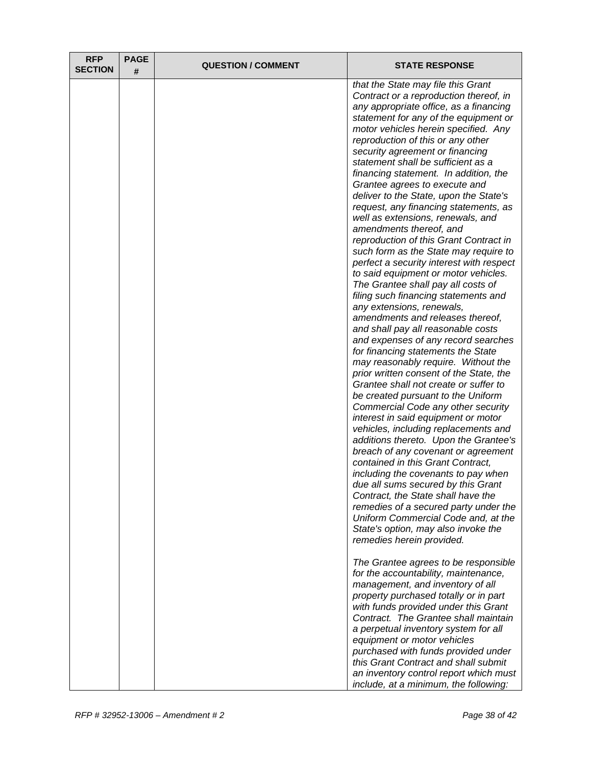| <b>RFP</b><br><b>SECTION</b> | <b>PAGE</b><br># | <b>QUESTION / COMMENT</b> | <b>STATE RESPONSE</b>                                                                                                                                                                                                                                                                                                                                                                                                                                                                                                                                                                                                                                                                                                                                                                                                                                                                                                                                                                                                                                                                                                                                                                                                                                                                                                                                                                                                                                                                                                                                                                                                                                                         |
|------------------------------|------------------|---------------------------|-------------------------------------------------------------------------------------------------------------------------------------------------------------------------------------------------------------------------------------------------------------------------------------------------------------------------------------------------------------------------------------------------------------------------------------------------------------------------------------------------------------------------------------------------------------------------------------------------------------------------------------------------------------------------------------------------------------------------------------------------------------------------------------------------------------------------------------------------------------------------------------------------------------------------------------------------------------------------------------------------------------------------------------------------------------------------------------------------------------------------------------------------------------------------------------------------------------------------------------------------------------------------------------------------------------------------------------------------------------------------------------------------------------------------------------------------------------------------------------------------------------------------------------------------------------------------------------------------------------------------------------------------------------------------------|
|                              |                  |                           | that the State may file this Grant<br>Contract or a reproduction thereof, in<br>any appropriate office, as a financing<br>statement for any of the equipment or<br>motor vehicles herein specified. Any<br>reproduction of this or any other<br>security agreement or financing<br>statement shall be sufficient as a<br>financing statement. In addition, the<br>Grantee agrees to execute and<br>deliver to the State, upon the State's<br>request, any financing statements, as<br>well as extensions, renewals, and<br>amendments thereof, and<br>reproduction of this Grant Contract in<br>such form as the State may require to<br>perfect a security interest with respect<br>to said equipment or motor vehicles.<br>The Grantee shall pay all costs of<br>filing such financing statements and<br>any extensions, renewals,<br>amendments and releases thereof,<br>and shall pay all reasonable costs<br>and expenses of any record searches<br>for financing statements the State<br>may reasonably require. Without the<br>prior written consent of the State, the<br>Grantee shall not create or suffer to<br>be created pursuant to the Uniform<br>Commercial Code any other security<br>interest in said equipment or motor<br>vehicles, including replacements and<br>additions thereto. Upon the Grantee's<br>breach of any covenant or agreement<br>contained in this Grant Contract,<br>including the covenants to pay when<br>due all sums secured by this Grant<br>Contract, the State shall have the<br>remedies of a secured party under the<br>Uniform Commercial Code and, at the<br>State's option, may also invoke the<br>remedies herein provided. |
|                              |                  |                           | The Grantee agrees to be responsible<br>for the accountability, maintenance,<br>management, and inventory of all<br>property purchased totally or in part<br>with funds provided under this Grant<br>Contract. The Grantee shall maintain<br>a perpetual inventory system for all<br>equipment or motor vehicles<br>purchased with funds provided under                                                                                                                                                                                                                                                                                                                                                                                                                                                                                                                                                                                                                                                                                                                                                                                                                                                                                                                                                                                                                                                                                                                                                                                                                                                                                                                       |
|                              |                  |                           | this Grant Contract and shall submit<br>an inventory control report which must<br>include, at a minimum, the following:                                                                                                                                                                                                                                                                                                                                                                                                                                                                                                                                                                                                                                                                                                                                                                                                                                                                                                                                                                                                                                                                                                                                                                                                                                                                                                                                                                                                                                                                                                                                                       |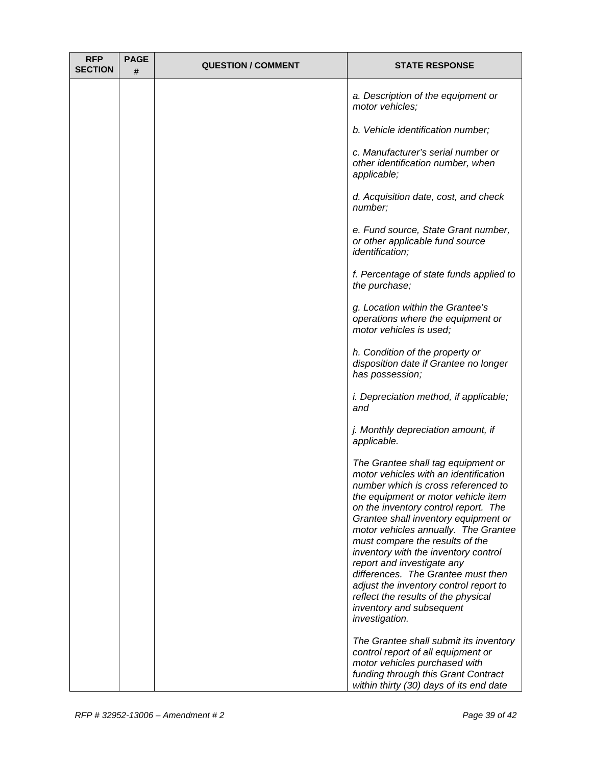| <b>RFP</b><br><b>SECTION</b> | <b>PAGE</b><br># | <b>QUESTION / COMMENT</b> | <b>STATE RESPONSE</b>                                                                                                                                                                                                                                                                                                                                                                                                                                                                                                                                           |
|------------------------------|------------------|---------------------------|-----------------------------------------------------------------------------------------------------------------------------------------------------------------------------------------------------------------------------------------------------------------------------------------------------------------------------------------------------------------------------------------------------------------------------------------------------------------------------------------------------------------------------------------------------------------|
|                              |                  |                           | a. Description of the equipment or<br>motor vehicles;                                                                                                                                                                                                                                                                                                                                                                                                                                                                                                           |
|                              |                  |                           | b. Vehicle identification number;                                                                                                                                                                                                                                                                                                                                                                                                                                                                                                                               |
|                              |                  |                           | c. Manufacturer's serial number or<br>other identification number, when<br>applicable;                                                                                                                                                                                                                                                                                                                                                                                                                                                                          |
|                              |                  |                           | d. Acquisition date, cost, and check<br>number;                                                                                                                                                                                                                                                                                                                                                                                                                                                                                                                 |
|                              |                  |                           | e. Fund source, State Grant number,<br>or other applicable fund source<br><i>identification;</i>                                                                                                                                                                                                                                                                                                                                                                                                                                                                |
|                              |                  |                           | f. Percentage of state funds applied to<br>the purchase;                                                                                                                                                                                                                                                                                                                                                                                                                                                                                                        |
|                              |                  |                           | g. Location within the Grantee's<br>operations where the equipment or<br>motor vehicles is used;                                                                                                                                                                                                                                                                                                                                                                                                                                                                |
|                              |                  |                           | h. Condition of the property or<br>disposition date if Grantee no longer<br>has possession;                                                                                                                                                                                                                                                                                                                                                                                                                                                                     |
|                              |                  |                           | <i>i. Depreciation method, if applicable;</i><br>and                                                                                                                                                                                                                                                                                                                                                                                                                                                                                                            |
|                              |                  |                           | j. Monthly depreciation amount, if<br>applicable.                                                                                                                                                                                                                                                                                                                                                                                                                                                                                                               |
|                              |                  |                           | The Grantee shall tag equipment or<br>motor vehicles with an identification<br>number which is cross referenced to<br>the equipment or motor vehicle item<br>on the inventory control report. The<br>Grantee shall inventory equipment or<br>motor vehicles annually. The Grantee<br>must compare the results of the<br>inventory with the inventory control<br>report and investigate any<br>differences. The Grantee must then<br>adjust the inventory control report to<br>reflect the results of the physical<br>inventory and subsequent<br>investigation. |
|                              |                  |                           | The Grantee shall submit its inventory<br>control report of all equipment or<br>motor vehicles purchased with<br>funding through this Grant Contract<br>within thirty (30) days of its end date                                                                                                                                                                                                                                                                                                                                                                 |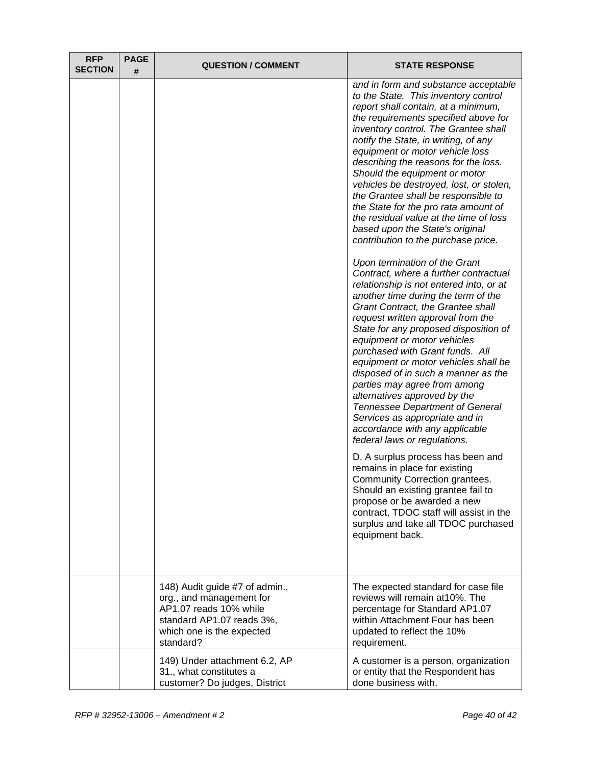| <b>RFP</b><br><b>SECTION</b> | <b>PAGE</b><br># | <b>QUESTION / COMMENT</b>                                                                                                                                   | <b>STATE RESPONSE</b>                                                                                                                                                                                                                                                                                                                                                                                                                                                                                                                                                                                                                      |
|------------------------------|------------------|-------------------------------------------------------------------------------------------------------------------------------------------------------------|--------------------------------------------------------------------------------------------------------------------------------------------------------------------------------------------------------------------------------------------------------------------------------------------------------------------------------------------------------------------------------------------------------------------------------------------------------------------------------------------------------------------------------------------------------------------------------------------------------------------------------------------|
|                              |                  |                                                                                                                                                             | and in form and substance acceptable<br>to the State. This inventory control<br>report shall contain, at a minimum,<br>the requirements specified above for<br>inventory control. The Grantee shall<br>notify the State, in writing, of any<br>equipment or motor vehicle loss<br>describing the reasons for the loss.<br>Should the equipment or motor<br>vehicles be destroyed, lost, or stolen,<br>the Grantee shall be responsible to<br>the State for the pro rata amount of<br>the residual value at the time of loss<br>based upon the State's original<br>contribution to the purchase price.                                      |
|                              |                  |                                                                                                                                                             | Upon termination of the Grant<br>Contract, where a further contractual<br>relationship is not entered into, or at<br>another time during the term of the<br>Grant Contract, the Grantee shall<br>request written approval from the<br>State for any proposed disposition of<br>equipment or motor vehicles<br>purchased with Grant funds. All<br>equipment or motor vehicles shall be<br>disposed of in such a manner as the<br>parties may agree from among<br>alternatives approved by the<br><b>Tennessee Department of General</b><br>Services as appropriate and in<br>accordance with any applicable<br>federal laws or regulations. |
|                              |                  |                                                                                                                                                             | D. A surplus process has been and<br>remains in place for existing<br>Community Correction grantees.<br>Should an existing grantee fail to<br>propose or be awarded a new<br>contract, TDOC staff will assist in the<br>surplus and take all TDOC purchased<br>equipment back.                                                                                                                                                                                                                                                                                                                                                             |
|                              |                  | 148) Audit guide #7 of admin.,<br>org., and management for<br>AP1.07 reads 10% while<br>standard AP1.07 reads 3%,<br>which one is the expected<br>standard? | The expected standard for case file<br>reviews will remain at 10%. The<br>percentage for Standard AP1.07<br>within Attachment Four has been<br>updated to reflect the 10%<br>requirement.                                                                                                                                                                                                                                                                                                                                                                                                                                                  |
|                              |                  | 149) Under attachment 6.2, AP<br>31., what constitutes a<br>customer? Do judges, District                                                                   | A customer is a person, organization<br>or entity that the Respondent has<br>done business with.                                                                                                                                                                                                                                                                                                                                                                                                                                                                                                                                           |